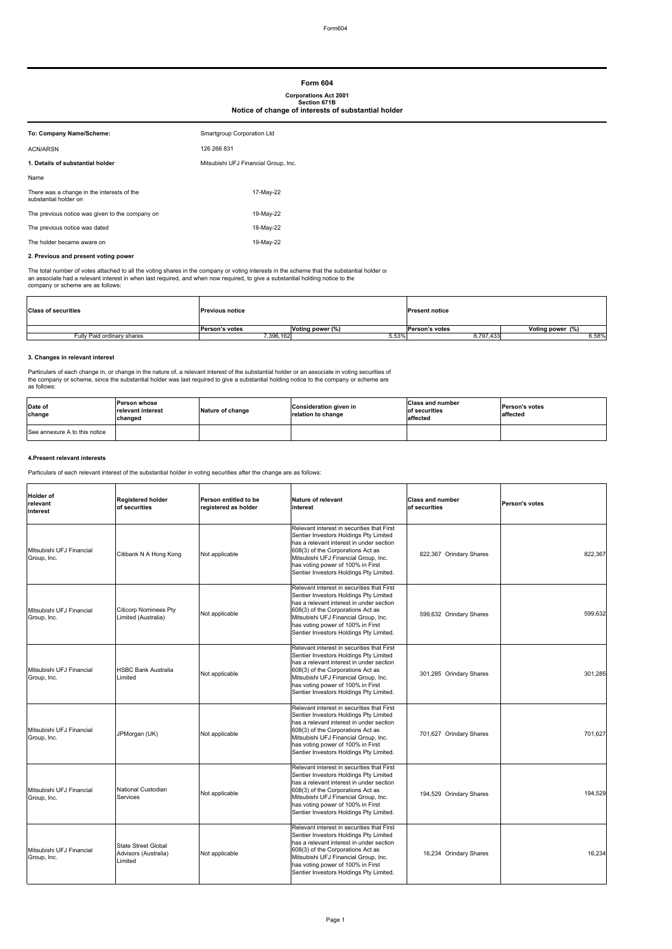# **Form 604 Corporations Act 2001 Section 671B Notice of change of interests of substantial holder**

| To: Company Name/Scheme:                                            | Smartgroup Corporation Ltd           |
|---------------------------------------------------------------------|--------------------------------------|
| <b>ACN/ARSN</b>                                                     | 126 266 831                          |
| 1. Details of substantial holder                                    | Mitsubishi UFJ Financial Group, Inc. |
| Name                                                                |                                      |
| There was a change in the interests of the<br>substantial holder on | 17-May-22                            |
| The previous notice was given to the company on                     | 19-May-22                            |
| The previous notice was dated                                       | 18-May-22                            |
| The holder became aware on                                          | 19-May-22                            |

#### **2. Previous and present voting power**

The total number of votes attached to all the voting shares in the company or voting interests in the scheme that the substantial holder or<br>an associate had a relevant interest in when last required, and when now required,

| <b>Class of securities</b> | <b>Previous notice</b> |                  | <b>Present notice</b> |                  |
|----------------------------|------------------------|------------------|-----------------------|------------------|
|                            | Person's votes         | Voting power (%) | Person's votes        | Voting power (%) |
| Fully Paid ordinary shares | 396,162                | 5.53%            | 8,797,433             | 6.58%            |
|                            |                        |                  |                       |                  |

#### **3. Changes in relevant interest**

Particulars of each change in, or change in the nature of, a relevant interest of the substantial holder or an associate in voting securities of<br>the company or scheme, since the substantial holder was last required to give

| Date of<br>change             | <b>Person whose</b><br>relevant interest<br>changed | Nature of change | <b>Consideration given in</b><br>relation to change | <b>Class and number</b><br>of securities<br>affected | <b>Person's votes</b><br>affected |
|-------------------------------|-----------------------------------------------------|------------------|-----------------------------------------------------|------------------------------------------------------|-----------------------------------|
| See annexure A to this notice |                                                     |                  |                                                     |                                                      |                                   |

#### **4.Present relevant interests**

Particulars of each relevant interest of the substantial holder in voting securities after the change are as follows:

| <b>Holder of</b><br>relevant<br>interest | Registered holder<br>of securities                            | Person entitled to be<br>registered as holder | <b>Nature of relevant</b><br>interest                                                                                                                                                                                                                                                         | <b>Class and number</b><br>of securities | Person's votes |
|------------------------------------------|---------------------------------------------------------------|-----------------------------------------------|-----------------------------------------------------------------------------------------------------------------------------------------------------------------------------------------------------------------------------------------------------------------------------------------------|------------------------------------------|----------------|
| Mitsubishi UFJ Financial<br>Group, Inc.  | Citibank N A Hong Kong                                        | Not applicable                                | Relevant interest in securities that First<br>Sentier Investors Holdings Pty Limited<br>has a relevant interest in under section<br>608(3) of the Corporations Act as<br>Mitsubishi UFJ Financial Group, Inc.<br>has voting power of 100% in First<br>Sentier Investors Holdings Pty Limited. | 822,367 Orindary Shares                  | 822,367        |
| Mitsubishi UFJ Financial<br>Group, Inc.  | <b>Citicorp Nominees Pty</b><br>Limited (Australia)           | Not applicable                                | Relevant interest in securities that First<br>Sentier Investors Holdings Pty Limited<br>has a relevant interest in under section<br>608(3) of the Corporations Act as<br>Mitsubishi UFJ Financial Group, Inc.<br>has voting power of 100% in First<br>Sentier Investors Holdings Pty Limited. | 599,632 Orindary Shares                  | 599,632        |
| Mitsubishi UFJ Financial<br>Group, Inc.  | <b>HSBC Bank Australia</b><br>Limited                         | Not applicable                                | Relevant interest in securities that First<br>Sentier Investors Holdings Pty Limited<br>has a relevant interest in under section<br>608(3) of the Corporations Act as<br>Mitsubishi UFJ Financial Group, Inc.<br>has voting power of 100% in First<br>Sentier Investors Holdings Pty Limited. | 301,285 Orindary Shares                  | 301.285        |
| Mitsubishi UFJ Financial<br>Group, Inc.  | JPMorgan (UK)                                                 | Not applicable                                | Relevant interest in securities that First<br>Sentier Investors Holdings Pty Limited<br>has a relevant interest in under section<br>608(3) of the Corporations Act as<br>Mitsubishi UFJ Financial Group, Inc.<br>has voting power of 100% in First<br>Sentier Investors Holdings Pty Limited. | 701,627 Orindary Shares                  | 701.627        |
| Mitsubishi UFJ Financial<br>Group, Inc.  | National Custodian<br>Services                                | Not applicable                                | Relevant interest in securities that First<br>Sentier Investors Holdings Pty Limited<br>has a relevant interest in under section<br>608(3) of the Corporations Act as<br>Mitsubishi UFJ Financial Group, Inc.<br>has voting power of 100% in First<br>Sentier Investors Holdings Pty Limited. | 194,529 Orindary Shares                  | 194,529        |
| Mitsubishi UFJ Financial<br>Group, Inc.  | <b>State Street Global</b><br>Advisors (Australia)<br>Limited | Not applicable                                | Relevant interest in securities that First<br>Sentier Investors Holdings Pty Limited<br>has a relevant interest in under section<br>608(3) of the Corporations Act as<br>Mitsubishi UFJ Financial Group, Inc.<br>has voting power of 100% in First<br>Sentier Investors Holdings Pty Limited. | 16,234 Orindary Shares                   | 16,234         |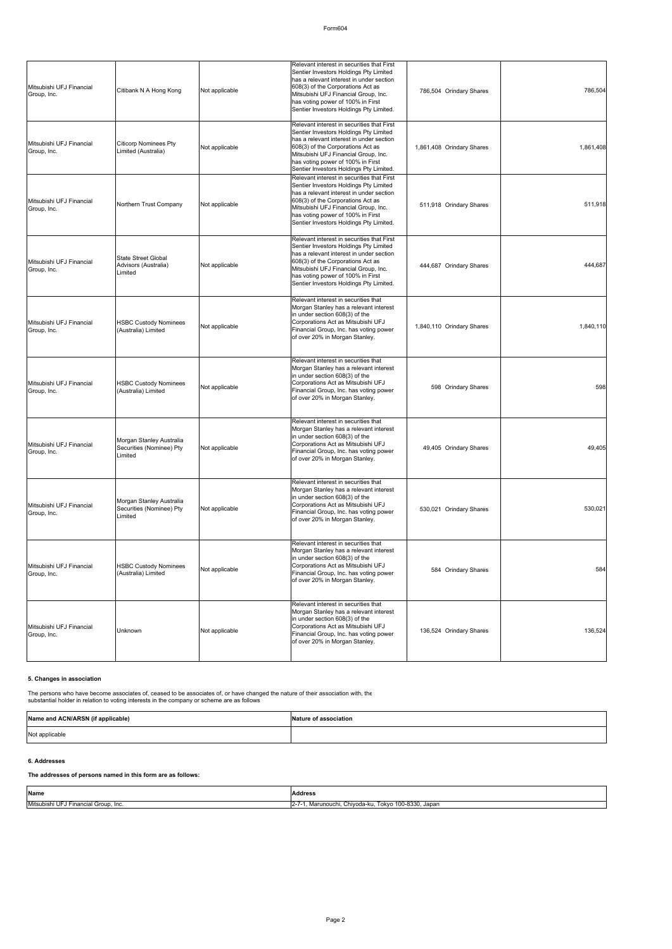### Form604

| Mitsubishi UFJ Financial<br>Group, Inc. | Citibank N A Hong Kong                                          | Not applicable | Relevant interest in securities that First<br>Sentier Investors Holdings Pty Limited<br>has a relevant interest in under section<br>608(3) of the Corporations Act as<br>Mitsubishi UFJ Financial Group, Inc.<br>has voting power of 100% in First<br>Sentier Investors Holdings Pty Limited. | 786,504 Orindary Shares   | 786,504   |
|-----------------------------------------|-----------------------------------------------------------------|----------------|-----------------------------------------------------------------------------------------------------------------------------------------------------------------------------------------------------------------------------------------------------------------------------------------------|---------------------------|-----------|
| Mitsubishi UFJ Financial<br>Group, Inc. | <b>Citicorp Nominees Pty</b><br>Limited (Australia)             | Not applicable | Relevant interest in securities that First<br>Sentier Investors Holdings Pty Limited<br>has a relevant interest in under section<br>608(3) of the Corporations Act as<br>Mitsubishi UFJ Financial Group, Inc.<br>has voting power of 100% in First<br>Sentier Investors Holdings Pty Limited. | 1,861,408 Orindary Shares | 1,861,408 |
| Mitsubishi UFJ Financial<br>Group, Inc. | Northern Trust Company                                          | Not applicable | Relevant interest in securities that First<br>Sentier Investors Holdings Pty Limited<br>has a relevant interest in under section<br>608(3) of the Corporations Act as<br>Mitsubishi UFJ Financial Group, Inc.<br>has voting power of 100% in First<br>Sentier Investors Holdings Pty Limited. | 511,918 Orindary Shares   | 511,918   |
| Mitsubishi UFJ Financial<br>Group, Inc. | <b>State Street Global</b><br>Advisors (Australia)<br>Limited   | Not applicable | Relevant interest in securities that First<br>Sentier Investors Holdings Pty Limited<br>has a relevant interest in under section<br>608(3) of the Corporations Act as<br>Mitsubishi UFJ Financial Group, Inc.<br>has voting power of 100% in First<br>Sentier Investors Holdings Pty Limited. | 444,687 Orindary Shares   | 444,687   |
| Mitsubishi UFJ Financial<br>Group, Inc. | <b>HSBC Custody Nominees</b><br>(Australia) Limited             | Not applicable | Relevant interest in securities that<br>Morgan Stanley has a relevant interest<br>in under section 608(3) of the<br>Corporations Act as Mitsubishi UFJ<br>Financial Group, Inc. has voting power<br>of over 20% in Morgan Stanley.                                                            | 1,840,110 Orindary Shares | 1,840,110 |
| Mitsubishi UFJ Financial<br>Group, Inc. | <b>HSBC Custody Nominees</b><br>(Australia) Limited             | Not applicable | Relevant interest in securities that<br>Morgan Stanley has a relevant interest<br>in under section 608(3) of the<br>Corporations Act as Mitsubishi UFJ<br>Financial Group, Inc. has voting power<br>of over 20% in Morgan Stanley.                                                            | 598 Orindary Shares       | 598       |
| Mitsubishi UFJ Financial<br>Group, Inc. | Morgan Stanley Australia<br>Securities (Nominee) Pty<br>Limited | Not applicable | Relevant interest in securities that<br>Morgan Stanley has a relevant interest<br>in under section 608(3) of the<br>Corporations Act as Mitsubishi UFJ<br>Financial Group, Inc. has voting power<br>of over 20% in Morgan Stanley.                                                            | 49,405 Orindary Shares    | 49,405    |
| Mitsubishi UFJ Financial<br>Group, Inc. | Morgan Stanley Australia<br>Securities (Nominee) Pty<br>Limited | Not applicable | Relevant interest in securities that<br>Morgan Stanley has a relevant interest<br>in under section 608(3) of the<br>Corporations Act as Mitsubishi UFJ<br>Financial Group, Inc. has voting power<br>of over 20% in Morgan Stanley.                                                            | 530,021 Orindary Shares   | 530,021   |
| Mitsubishi UFJ Financial<br>Group, Inc. | <b>HSBC Custody Nominees</b><br>(Australia) Limited             | Not applicable | Relevant interest in securities that<br>Morgan Stanley has a relevant interest<br>in under section 608(3) of the<br>Corporations Act as Mitsubishi UFJ<br>Financial Group, Inc. has voting power<br>of over 20% in Morgan Stanley.                                                            | 584 Orindary Shares       | 584       |
| Mitsubishi UFJ Financial<br>Group, Inc. | Unknown                                                         | Not applicable | Relevant interest in securities that<br>Morgan Stanley has a relevant interest<br>in under section 608(3) of the<br>Corporations Act as Mitsubishi UFJ<br>Financial Group, Inc. has voting power<br>of over 20% in Morgan Stanley.                                                            | 136,524 Orindary Shares   | 136,524   |

### **5. Changes in association**

The persons who have become associates of, ceased to be associates of, or have changed the nature of their association with, the<br>substantial holder in relation to voting interests in the company or scheme are as follows

| Name and ACN/ARSN (if applicable) | Nature of association |
|-----------------------------------|-----------------------|
| Not applicable                    |                       |

#### **6. Addresses**

### **The addresses of persons named in this form are as follows:**

| Name                                 | <b>Address</b>                                                    |
|--------------------------------------|-------------------------------------------------------------------|
| Mitsubishi UFJ Financial Group, Inc. | 100-8330, Japan<br>$2 - 7$<br>. Chivoda-ku.<br>Tokvo<br>Marunouch |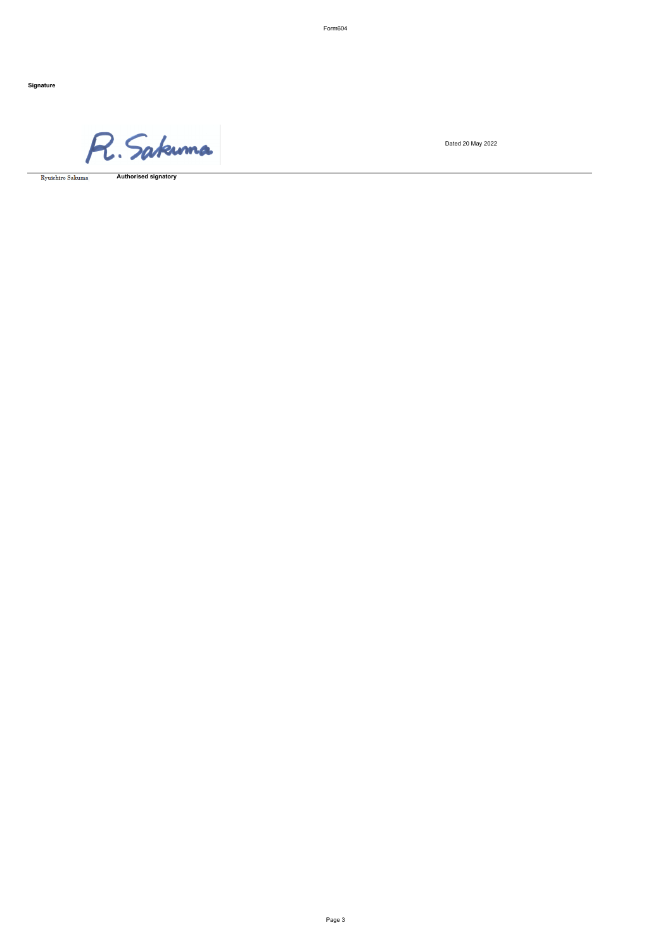Form604

**Signature**

R. Sakuma

 ${\rm Ryuichiro\ Sakuma}$ 

**Authorised signatory**

Dated 20 May 2022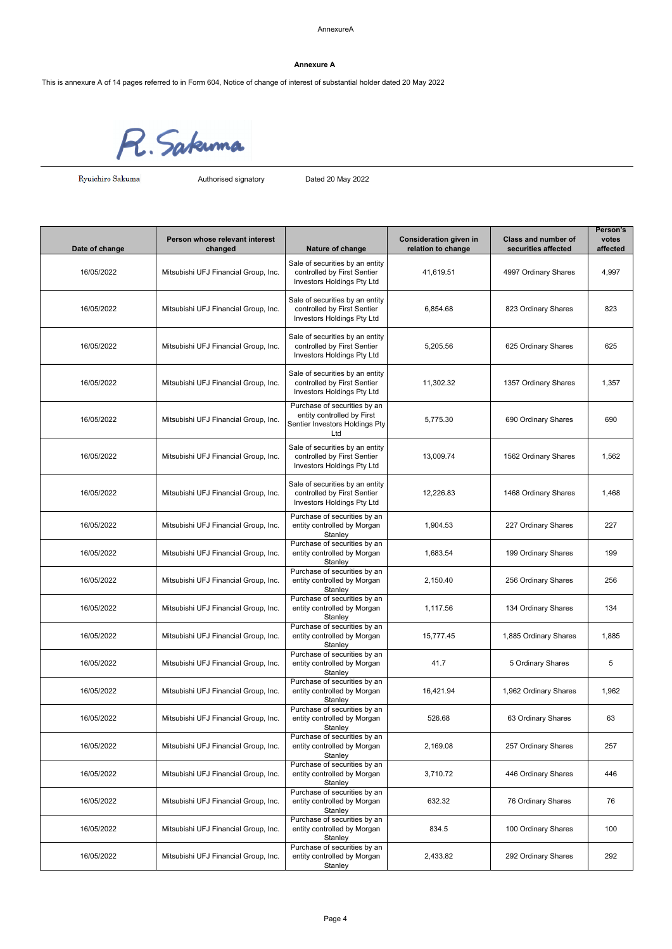This is annexure A of 14 pages referred to in Form 604, Notice of change of interest of substantial holder dated 20 May 2022

R. Sakunna

 ${\rm Ryuichiro\ Sakuma}$ 

Authorised signatory Dated 20 May 2022

|                |                                           |                                                                                                     |                                                     |                                                   | Person's          |
|----------------|-------------------------------------------|-----------------------------------------------------------------------------------------------------|-----------------------------------------------------|---------------------------------------------------|-------------------|
| Date of change | Person whose relevant interest<br>changed | Nature of change                                                                                    | <b>Consideration given in</b><br>relation to change | <b>Class and number of</b><br>securities affected | votes<br>affected |
| 16/05/2022     | Mitsubishi UFJ Financial Group, Inc.      | Sale of securities by an entity<br>controlled by First Sentier<br>Investors Holdings Pty Ltd        | 41,619.51                                           | 4997 Ordinary Shares                              | 4,997             |
| 16/05/2022     | Mitsubishi UFJ Financial Group, Inc.      | Sale of securities by an entity<br>controlled by First Sentier<br>Investors Holdings Pty Ltd        | 6,854.68                                            | 823 Ordinary Shares                               | 823               |
| 16/05/2022     | Mitsubishi UFJ Financial Group, Inc.      | Sale of securities by an entity<br>controlled by First Sentier<br>Investors Holdings Pty Ltd        | 5.205.56                                            | 625 Ordinary Shares                               | 625               |
| 16/05/2022     | Mitsubishi UFJ Financial Group, Inc.      | Sale of securities by an entity<br>controlled by First Sentier<br>Investors Holdings Pty Ltd        | 11,302.32                                           | 1357 Ordinary Shares                              | 1,357             |
| 16/05/2022     | Mitsubishi UFJ Financial Group, Inc.      | Purchase of securities by an<br>entity controlled by First<br>Sentier Investors Holdings Pty<br>Ltd | 5,775.30                                            | 690 Ordinary Shares                               | 690               |
| 16/05/2022     | Mitsubishi UFJ Financial Group, Inc.      | Sale of securities by an entity<br>controlled by First Sentier<br>Investors Holdings Pty Ltd        | 13,009.74                                           | 1562 Ordinary Shares                              | 1,562             |
| 16/05/2022     | Mitsubishi UFJ Financial Group, Inc.      | Sale of securities by an entity<br>controlled by First Sentier<br>Investors Holdings Pty Ltd        | 12,226.83                                           | 1468 Ordinary Shares                              | 1,468             |
| 16/05/2022     | Mitsubishi UFJ Financial Group, Inc.      | Purchase of securities by an<br>entity controlled by Morgan<br>Stanley                              | 1,904.53                                            | 227 Ordinary Shares                               | 227               |
| 16/05/2022     | Mitsubishi UFJ Financial Group, Inc.      | Purchase of securities by an<br>entity controlled by Morgan<br>Stanley                              | 1,683.54                                            | 199 Ordinary Shares                               | 199               |
| 16/05/2022     | Mitsubishi UFJ Financial Group, Inc.      | Purchase of securities by an<br>entity controlled by Morgan<br>Stanley                              | 2,150.40                                            | 256 Ordinary Shares                               | 256               |
| 16/05/2022     | Mitsubishi UFJ Financial Group, Inc.      | Purchase of securities by an<br>entity controlled by Morgan<br>Stanley                              | 1,117.56                                            | 134 Ordinary Shares                               | 134               |
| 16/05/2022     | Mitsubishi UFJ Financial Group, Inc.      | Purchase of securities by an<br>entity controlled by Morgan<br>Stanley                              | 15,777.45                                           | 1,885 Ordinary Shares                             | 1,885             |
| 16/05/2022     | Mitsubishi UFJ Financial Group, Inc.      | Purchase of securities by an<br>entity controlled by Morgan<br>Stanley                              | 41.7                                                | 5 Ordinary Shares                                 | 5                 |
| 16/05/2022     | Mitsubishi UFJ Financial Group, Inc.      | Purchase of securities by an<br>entity controlled by Morgan<br>Stanley                              | 16,421.94                                           | 1,962 Ordinary Shares                             | 1,962             |
| 16/05/2022     | Mitsubishi UFJ Financial Group, Inc.      | Purchase of securities by an<br>entity controlled by Morgan<br>Stanley                              | 526.68                                              | 63 Ordinary Shares                                | 63                |
| 16/05/2022     | Mitsubishi UFJ Financial Group, Inc.      | Purchase of securities by an<br>entity controlled by Morgan<br>Stanlev                              | 2,169.08                                            | 257 Ordinary Shares                               | 257               |
| 16/05/2022     | Mitsubishi UFJ Financial Group, Inc.      | Purchase of securities by an<br>entity controlled by Morgan<br>Stanley                              | 3,710.72                                            | 446 Ordinary Shares                               | 446               |
| 16/05/2022     | Mitsubishi UFJ Financial Group, Inc.      | Purchase of securities by an<br>entity controlled by Morgan<br>Stanley                              | 632.32                                              | 76 Ordinary Shares                                | 76                |
| 16/05/2022     | Mitsubishi UFJ Financial Group, Inc.      | Purchase of securities by an<br>entity controlled by Morgan<br>Stanley                              | 834.5                                               | 100 Ordinary Shares                               | 100               |
| 16/05/2022     | Mitsubishi UFJ Financial Group, Inc.      | Purchase of securities by an<br>entity controlled by Morgan<br>Stanley                              | 2,433.82                                            | 292 Ordinary Shares                               | 292               |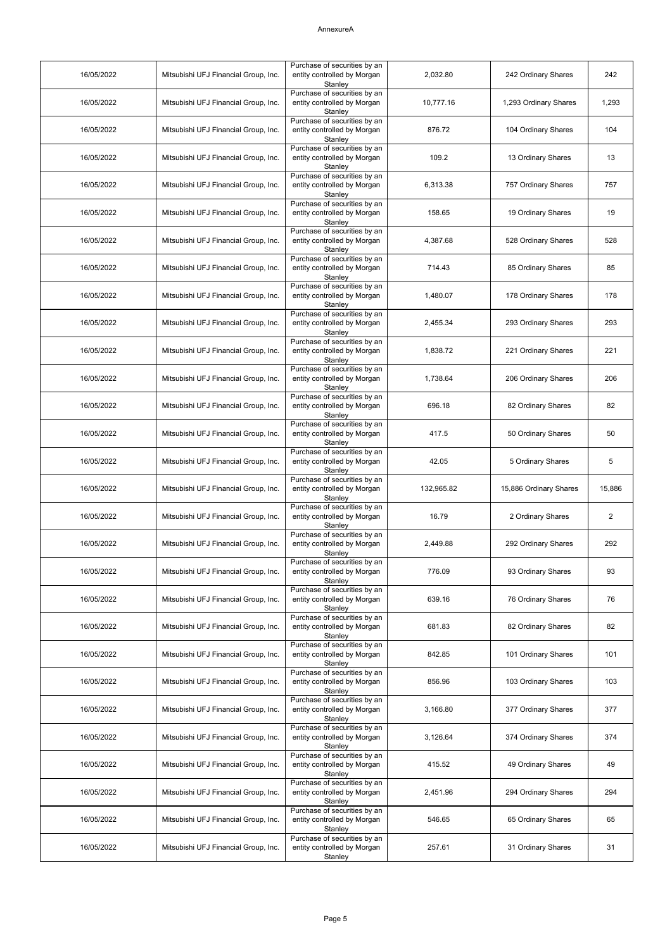| 16/05/2022 | Mitsubishi UFJ Financial Group, Inc. | Purchase of securities by an<br>entity controlled by Morgan<br>Stanley | 2,032.80   | 242 Ordinary Shares    | 242            |
|------------|--------------------------------------|------------------------------------------------------------------------|------------|------------------------|----------------|
| 16/05/2022 | Mitsubishi UFJ Financial Group, Inc. | Purchase of securities by an<br>entity controlled by Morgan<br>Stanley | 10,777.16  | 1,293 Ordinary Shares  | 1,293          |
| 16/05/2022 | Mitsubishi UFJ Financial Group, Inc. | Purchase of securities by an<br>entity controlled by Morgan<br>Stanley | 876.72     | 104 Ordinary Shares    | 104            |
| 16/05/2022 | Mitsubishi UFJ Financial Group, Inc. | Purchase of securities by an<br>entity controlled by Morgan<br>Stanley | 109.2      | 13 Ordinary Shares     | 13             |
| 16/05/2022 | Mitsubishi UFJ Financial Group, Inc. | Purchase of securities by an<br>entity controlled by Morgan<br>Stanley | 6,313.38   | 757 Ordinary Shares    | 757            |
| 16/05/2022 | Mitsubishi UFJ Financial Group, Inc. | Purchase of securities by an<br>entity controlled by Morgan<br>Stanley | 158.65     | 19 Ordinary Shares     | 19             |
| 16/05/2022 | Mitsubishi UFJ Financial Group, Inc. | Purchase of securities by an<br>entity controlled by Morgan<br>Stanley | 4,387.68   | 528 Ordinary Shares    | 528            |
| 16/05/2022 | Mitsubishi UFJ Financial Group, Inc. | Purchase of securities by an<br>entity controlled by Morgan<br>Stanley | 714.43     | 85 Ordinary Shares     | 85             |
| 16/05/2022 | Mitsubishi UFJ Financial Group, Inc. | Purchase of securities by an<br>entity controlled by Morgan<br>Stanley | 1,480.07   | 178 Ordinary Shares    | 178            |
| 16/05/2022 | Mitsubishi UFJ Financial Group, Inc. | Purchase of securities by an<br>entity controlled by Morgan<br>Stanley | 2,455.34   | 293 Ordinary Shares    | 293            |
| 16/05/2022 | Mitsubishi UFJ Financial Group, Inc. | Purchase of securities by an<br>entity controlled by Morgan<br>Stanley | 1,838.72   | 221 Ordinary Shares    | 221            |
| 16/05/2022 | Mitsubishi UFJ Financial Group, Inc. | Purchase of securities by an<br>entity controlled by Morgan<br>Stanley | 1,738.64   | 206 Ordinary Shares    | 206            |
| 16/05/2022 | Mitsubishi UFJ Financial Group, Inc. | Purchase of securities by an<br>entity controlled by Morgan<br>Stanley | 696.18     | 82 Ordinary Shares     | 82             |
| 16/05/2022 | Mitsubishi UFJ Financial Group, Inc. | Purchase of securities by an<br>entity controlled by Morgan<br>Stanley | 417.5      | 50 Ordinary Shares     | 50             |
| 16/05/2022 | Mitsubishi UFJ Financial Group, Inc. | Purchase of securities by an<br>entity controlled by Morgan<br>Stanley | 42.05      | 5 Ordinary Shares      | 5              |
| 16/05/2022 | Mitsubishi UFJ Financial Group, Inc. | Purchase of securities by an<br>entity controlled by Morgan<br>Stanley | 132,965.82 | 15,886 Ordinary Shares | 15,886         |
| 16/05/2022 | Mitsubishi UFJ Financial Group, Inc. | Purchase of securities by an<br>entity controlled by Morgan<br>Stanley | 16.79      | 2 Ordinary Shares      | $\overline{2}$ |
| 16/05/2022 | Mitsubishi UFJ Financial Group, Inc. | Purchase of securities by an<br>entity controlled by Morgan<br>Stanley | 2,449.88   | 292 Ordinary Shares    | 292            |
| 16/05/2022 | Mitsubishi UFJ Financial Group, Inc. | Purchase of securities by an<br>entity controlled by Morgan<br>Stanley | 776.09     | 93 Ordinary Shares     | 93             |
| 16/05/2022 | Mitsubishi UFJ Financial Group, Inc. | Purchase of securities by an<br>entity controlled by Morgan<br>Stanley | 639.16     | 76 Ordinary Shares     | 76             |
| 16/05/2022 | Mitsubishi UFJ Financial Group, Inc. | Purchase of securities by an<br>entity controlled by Morgan<br>Stanley | 681.83     | 82 Ordinary Shares     | 82             |
| 16/05/2022 | Mitsubishi UFJ Financial Group, Inc. | Purchase of securities by an<br>entity controlled by Morgan<br>Stanley | 842.85     | 101 Ordinary Shares    | 101            |
| 16/05/2022 | Mitsubishi UFJ Financial Group, Inc. | Purchase of securities by an<br>entity controlled by Morgan<br>Stanley | 856.96     | 103 Ordinary Shares    | 103            |
| 16/05/2022 | Mitsubishi UFJ Financial Group, Inc. | Purchase of securities by an<br>entity controlled by Morgan<br>Stanley | 3,166.80   | 377 Ordinary Shares    | 377            |
| 16/05/2022 | Mitsubishi UFJ Financial Group, Inc. | Purchase of securities by an<br>entity controlled by Morgan<br>Stanley | 3,126.64   | 374 Ordinary Shares    | 374            |
| 16/05/2022 | Mitsubishi UFJ Financial Group, Inc. | Purchase of securities by an<br>entity controlled by Morgan<br>Stanley | 415.52     | 49 Ordinary Shares     | 49             |
| 16/05/2022 | Mitsubishi UFJ Financial Group, Inc. | Purchase of securities by an<br>entity controlled by Morgan<br>Stanley | 2,451.96   | 294 Ordinary Shares    | 294            |
| 16/05/2022 | Mitsubishi UFJ Financial Group, Inc. | Purchase of securities by an<br>entity controlled by Morgan<br>Stanley | 546.65     | 65 Ordinary Shares     | 65             |
| 16/05/2022 | Mitsubishi UFJ Financial Group, Inc. | Purchase of securities by an<br>entity controlled by Morgan<br>Stanley | 257.61     | 31 Ordinary Shares     | 31             |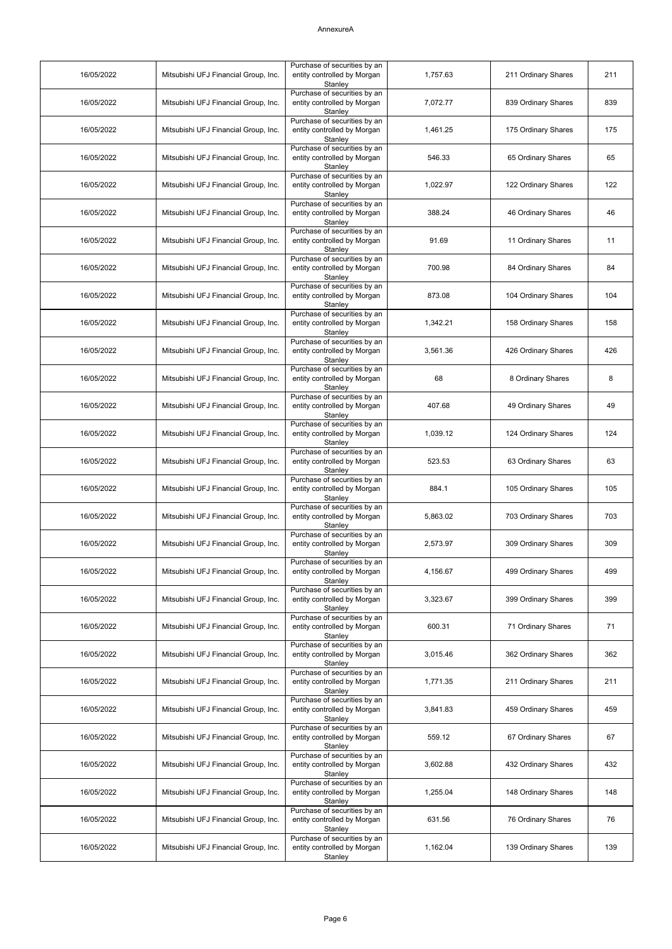| 16/05/2022 | Mitsubishi UFJ Financial Group, Inc. | Purchase of securities by an<br>entity controlled by Morgan<br>Stanley | 1,757.63 | 211 Ordinary Shares | 211 |
|------------|--------------------------------------|------------------------------------------------------------------------|----------|---------------------|-----|
| 16/05/2022 | Mitsubishi UFJ Financial Group, Inc. | Purchase of securities by an<br>entity controlled by Morgan<br>Stanley | 7,072.77 | 839 Ordinary Shares | 839 |
| 16/05/2022 | Mitsubishi UFJ Financial Group, Inc. | Purchase of securities by an<br>entity controlled by Morgan<br>Stanley | 1,461.25 | 175 Ordinary Shares | 175 |
| 16/05/2022 | Mitsubishi UFJ Financial Group, Inc. | Purchase of securities by an<br>entity controlled by Morgan<br>Stanley | 546.33   | 65 Ordinary Shares  | 65  |
| 16/05/2022 | Mitsubishi UFJ Financial Group, Inc. | Purchase of securities by an<br>entity controlled by Morgan<br>Stanley | 1,022.97 | 122 Ordinary Shares | 122 |
| 16/05/2022 | Mitsubishi UFJ Financial Group, Inc. | Purchase of securities by an<br>entity controlled by Morgan<br>Stanley | 388.24   | 46 Ordinary Shares  | 46  |
| 16/05/2022 | Mitsubishi UFJ Financial Group, Inc. | Purchase of securities by an<br>entity controlled by Morgan<br>Stanley | 91.69    | 11 Ordinary Shares  | 11  |
| 16/05/2022 | Mitsubishi UFJ Financial Group, Inc. | Purchase of securities by an<br>entity controlled by Morgan<br>Stanley | 700.98   | 84 Ordinary Shares  | 84  |
| 16/05/2022 | Mitsubishi UFJ Financial Group, Inc. | Purchase of securities by an<br>entity controlled by Morgan<br>Stanley | 873.08   | 104 Ordinary Shares | 104 |
| 16/05/2022 | Mitsubishi UFJ Financial Group, Inc. | Purchase of securities by an<br>entity controlled by Morgan<br>Stanley | 1,342.21 | 158 Ordinary Shares | 158 |
| 16/05/2022 | Mitsubishi UFJ Financial Group, Inc. | Purchase of securities by an<br>entity controlled by Morgan<br>Stanley | 3,561.36 | 426 Ordinary Shares | 426 |
| 16/05/2022 | Mitsubishi UFJ Financial Group, Inc. | Purchase of securities by an<br>entity controlled by Morgan<br>Stanley | 68       | 8 Ordinary Shares   | 8   |
| 16/05/2022 | Mitsubishi UFJ Financial Group, Inc. | Purchase of securities by an<br>entity controlled by Morgan<br>Stanley | 407.68   | 49 Ordinary Shares  | 49  |
| 16/05/2022 | Mitsubishi UFJ Financial Group, Inc. | Purchase of securities by an<br>entity controlled by Morgan<br>Stanley | 1,039.12 | 124 Ordinary Shares | 124 |
| 16/05/2022 | Mitsubishi UFJ Financial Group, Inc. | Purchase of securities by an<br>entity controlled by Morgan<br>Stanley | 523.53   | 63 Ordinary Shares  | 63  |
| 16/05/2022 | Mitsubishi UFJ Financial Group, Inc. | Purchase of securities by an<br>entity controlled by Morgan<br>Stanley | 884.1    | 105 Ordinary Shares | 105 |
| 16/05/2022 | Mitsubishi UFJ Financial Group, Inc. | Purchase of securities by an<br>entity controlled by Morgan<br>Stanley | 5,863.02 | 703 Ordinary Shares | 703 |
| 16/05/2022 | Mitsubishi UFJ Financial Group, Inc. | Purchase of securities by an<br>entity controlled by Morgan<br>Stanley | 2,573.97 | 309 Ordinary Shares | 309 |
| 16/05/2022 | Mitsubishi UFJ Financial Group, Inc. | Purchase of securities by an<br>entity controlled by Morgan<br>Stanley | 4,156.67 | 499 Ordinary Shares | 499 |
| 16/05/2022 | Mitsubishi UFJ Financial Group, Inc. | Purchase of securities by an<br>entity controlled by Morgan<br>Stanlev | 3,323.67 | 399 Ordinary Shares | 399 |
| 16/05/2022 | Mitsubishi UFJ Financial Group, Inc. | Purchase of securities by an<br>entity controlled by Morgan<br>Stanley | 600.31   | 71 Ordinary Shares  | 71  |
| 16/05/2022 | Mitsubishi UFJ Financial Group, Inc. | Purchase of securities by an<br>entity controlled by Morgan<br>Stanley | 3,015.46 | 362 Ordinary Shares | 362 |
| 16/05/2022 | Mitsubishi UFJ Financial Group, Inc. | Purchase of securities by an<br>entity controlled by Morgan<br>Stanley | 1,771.35 | 211 Ordinary Shares | 211 |
| 16/05/2022 | Mitsubishi UFJ Financial Group, Inc. | Purchase of securities by an<br>entity controlled by Morgan<br>Stanley | 3,841.83 | 459 Ordinary Shares | 459 |
| 16/05/2022 | Mitsubishi UFJ Financial Group, Inc. | Purchase of securities by an<br>entity controlled by Morgan<br>Stanley | 559.12   | 67 Ordinary Shares  | 67  |
| 16/05/2022 | Mitsubishi UFJ Financial Group, Inc. | Purchase of securities by an<br>entity controlled by Morgan<br>Stanley | 3,602.88 | 432 Ordinary Shares | 432 |
| 16/05/2022 | Mitsubishi UFJ Financial Group, Inc. | Purchase of securities by an<br>entity controlled by Morgan<br>Stanley | 1,255.04 | 148 Ordinary Shares | 148 |
| 16/05/2022 | Mitsubishi UFJ Financial Group, Inc. | Purchase of securities by an<br>entity controlled by Morgan<br>Stanley | 631.56   | 76 Ordinary Shares  | 76  |
| 16/05/2022 | Mitsubishi UFJ Financial Group, Inc. | Purchase of securities by an<br>entity controlled by Morgan<br>Stanley | 1,162.04 | 139 Ordinary Shares | 139 |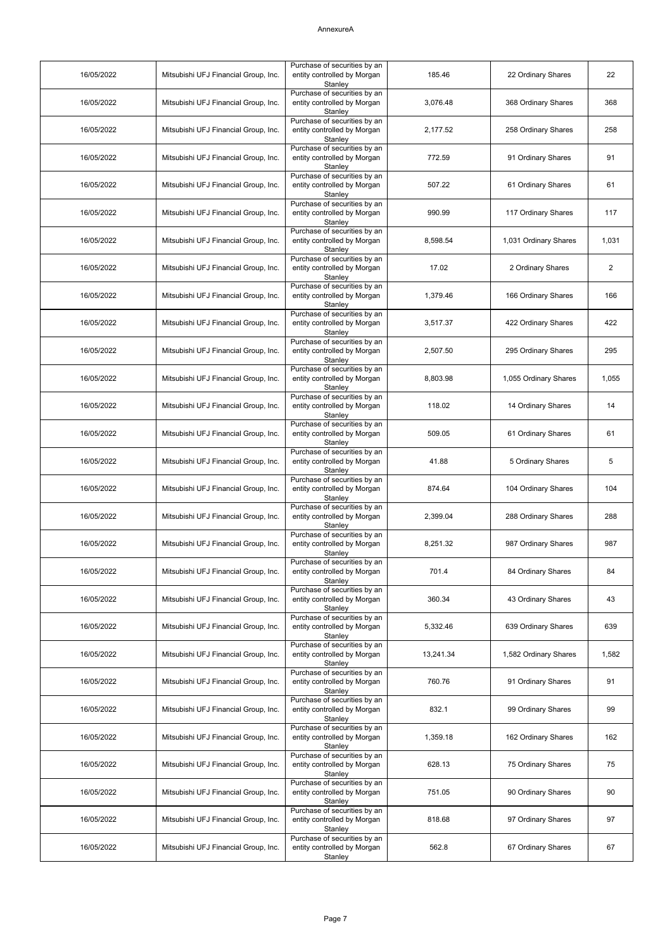| 16/05/2022 | Mitsubishi UFJ Financial Group, Inc. | Purchase of securities by an<br>entity controlled by Morgan<br>Stanley | 185.46    | 22 Ordinary Shares    | 22             |
|------------|--------------------------------------|------------------------------------------------------------------------|-----------|-----------------------|----------------|
| 16/05/2022 | Mitsubishi UFJ Financial Group, Inc. | Purchase of securities by an<br>entity controlled by Morgan<br>Stanley | 3,076.48  | 368 Ordinary Shares   | 368            |
| 16/05/2022 | Mitsubishi UFJ Financial Group, Inc. | Purchase of securities by an<br>entity controlled by Morgan<br>Stanley | 2,177.52  | 258 Ordinary Shares   | 258            |
| 16/05/2022 | Mitsubishi UFJ Financial Group, Inc. | Purchase of securities by an<br>entity controlled by Morgan<br>Stanley | 772.59    | 91 Ordinary Shares    | 91             |
| 16/05/2022 | Mitsubishi UFJ Financial Group, Inc. | Purchase of securities by an<br>entity controlled by Morgan<br>Stanley | 507.22    | 61 Ordinary Shares    | 61             |
| 16/05/2022 | Mitsubishi UFJ Financial Group, Inc. | Purchase of securities by an<br>entity controlled by Morgan<br>Stanley | 990.99    | 117 Ordinary Shares   | 117            |
| 16/05/2022 | Mitsubishi UFJ Financial Group, Inc. | Purchase of securities by an<br>entity controlled by Morgan<br>Stanley | 8,598.54  | 1,031 Ordinary Shares | 1,031          |
| 16/05/2022 | Mitsubishi UFJ Financial Group, Inc. | Purchase of securities by an<br>entity controlled by Morgan<br>Stanley | 17.02     | 2 Ordinary Shares     | $\overline{2}$ |
| 16/05/2022 | Mitsubishi UFJ Financial Group, Inc. | Purchase of securities by an<br>entity controlled by Morgan<br>Stanley | 1,379.46  | 166 Ordinary Shares   | 166            |
| 16/05/2022 | Mitsubishi UFJ Financial Group, Inc. | Purchase of securities by an<br>entity controlled by Morgan<br>Stanley | 3,517.37  | 422 Ordinary Shares   | 422            |
| 16/05/2022 | Mitsubishi UFJ Financial Group, Inc. | Purchase of securities by an<br>entity controlled by Morgan<br>Stanley | 2,507.50  | 295 Ordinary Shares   | 295            |
| 16/05/2022 | Mitsubishi UFJ Financial Group, Inc. | Purchase of securities by an<br>entity controlled by Morgan<br>Stanley | 8,803.98  | 1,055 Ordinary Shares | 1,055          |
| 16/05/2022 | Mitsubishi UFJ Financial Group, Inc. | Purchase of securities by an<br>entity controlled by Morgan<br>Stanley | 118.02    | 14 Ordinary Shares    | 14             |
| 16/05/2022 | Mitsubishi UFJ Financial Group, Inc. | Purchase of securities by an<br>entity controlled by Morgan<br>Stanley | 509.05    | 61 Ordinary Shares    | 61             |
| 16/05/2022 | Mitsubishi UFJ Financial Group, Inc. | Purchase of securities by an<br>entity controlled by Morgan<br>Stanley | 41.88     | 5 Ordinary Shares     | 5              |
| 16/05/2022 | Mitsubishi UFJ Financial Group, Inc. | Purchase of securities by an<br>entity controlled by Morgan<br>Stanley | 874.64    | 104 Ordinary Shares   | 104            |
| 16/05/2022 | Mitsubishi UFJ Financial Group, Inc. | Purchase of securities by an<br>entity controlled by Morgan<br>Stanley | 2,399.04  | 288 Ordinary Shares   | 288            |
| 16/05/2022 | Mitsubishi UFJ Financial Group, Inc. | Purchase of securities by an<br>entity controlled by Morgan<br>Stanley | 8,251.32  | 987 Ordinary Shares   | 987            |
| 16/05/2022 | Mitsubishi UFJ Financial Group, Inc. | Purchase of securities by an<br>entity controlled by Morgan<br>Stanley | 701.4     | 84 Ordinary Shares    | 84             |
| 16/05/2022 | Mitsubishi UFJ Financial Group, Inc. | Purchase of securities by an<br>entity controlled by Morgan<br>Stanley | 360.34    | 43 Ordinary Shares    | 43             |
| 16/05/2022 | Mitsubishi UFJ Financial Group, Inc. | Purchase of securities by an<br>entity controlled by Morgan<br>Stanley | 5,332.46  | 639 Ordinary Shares   | 639            |
| 16/05/2022 | Mitsubishi UFJ Financial Group, Inc. | Purchase of securities by an<br>entity controlled by Morgan<br>Stanley | 13,241.34 | 1,582 Ordinary Shares | 1,582          |
| 16/05/2022 | Mitsubishi UFJ Financial Group, Inc. | Purchase of securities by an<br>entity controlled by Morgan<br>Stanley | 760.76    | 91 Ordinary Shares    | 91             |
| 16/05/2022 | Mitsubishi UFJ Financial Group, Inc. | Purchase of securities by an<br>entity controlled by Morgan<br>Stanley | 832.1     | 99 Ordinary Shares    | 99             |
| 16/05/2022 | Mitsubishi UFJ Financial Group, Inc. | Purchase of securities by an<br>entity controlled by Morgan<br>Stanley | 1,359.18  | 162 Ordinary Shares   | 162            |
| 16/05/2022 | Mitsubishi UFJ Financial Group, Inc. | Purchase of securities by an<br>entity controlled by Morgan<br>Stanley | 628.13    | 75 Ordinary Shares    | 75             |
| 16/05/2022 | Mitsubishi UFJ Financial Group, Inc. | Purchase of securities by an<br>entity controlled by Morgan<br>Stanley | 751.05    | 90 Ordinary Shares    | 90             |
| 16/05/2022 | Mitsubishi UFJ Financial Group, Inc. | Purchase of securities by an<br>entity controlled by Morgan<br>Stanley | 818.68    | 97 Ordinary Shares    | 97             |
| 16/05/2022 | Mitsubishi UFJ Financial Group, Inc. | Purchase of securities by an<br>entity controlled by Morgan<br>Stanley | 562.8     | 67 Ordinary Shares    | 67             |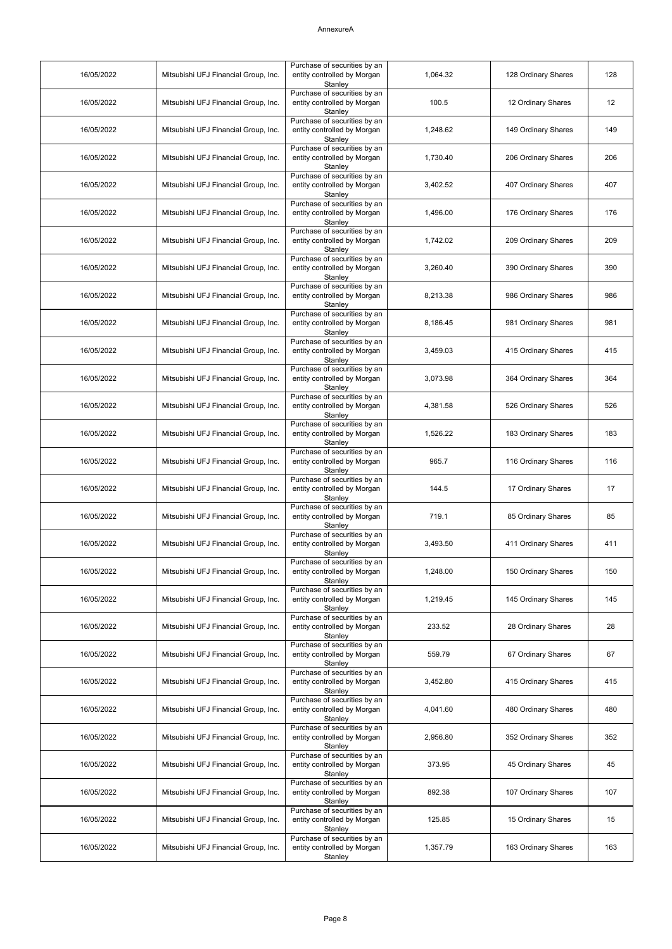| 16/05/2022 | Mitsubishi UFJ Financial Group, Inc. | Purchase of securities by an<br>entity controlled by Morgan<br>Stanley | 1,064.32 | 128 Ordinary Shares | 128 |
|------------|--------------------------------------|------------------------------------------------------------------------|----------|---------------------|-----|
| 16/05/2022 | Mitsubishi UFJ Financial Group, Inc. | Purchase of securities by an<br>entity controlled by Morgan<br>Stanley | 100.5    | 12 Ordinary Shares  | 12  |
| 16/05/2022 | Mitsubishi UFJ Financial Group, Inc. | Purchase of securities by an<br>entity controlled by Morgan<br>Stanley | 1,248.62 | 149 Ordinary Shares | 149 |
| 16/05/2022 | Mitsubishi UFJ Financial Group, Inc. | Purchase of securities by an<br>entity controlled by Morgan<br>Stanley | 1,730.40 | 206 Ordinary Shares | 206 |
| 16/05/2022 | Mitsubishi UFJ Financial Group, Inc. | Purchase of securities by an<br>entity controlled by Morgan<br>Stanley | 3,402.52 | 407 Ordinary Shares | 407 |
| 16/05/2022 | Mitsubishi UFJ Financial Group, Inc. | Purchase of securities by an<br>entity controlled by Morgan<br>Stanley | 1,496.00 | 176 Ordinary Shares | 176 |
| 16/05/2022 | Mitsubishi UFJ Financial Group, Inc. | Purchase of securities by an<br>entity controlled by Morgan<br>Stanley | 1,742.02 | 209 Ordinary Shares | 209 |
| 16/05/2022 | Mitsubishi UFJ Financial Group, Inc. | Purchase of securities by an<br>entity controlled by Morgan<br>Stanley | 3,260.40 | 390 Ordinary Shares | 390 |
| 16/05/2022 | Mitsubishi UFJ Financial Group, Inc. | Purchase of securities by an<br>entity controlled by Morgan<br>Stanley | 8,213.38 | 986 Ordinary Shares | 986 |
| 16/05/2022 | Mitsubishi UFJ Financial Group, Inc. | Purchase of securities by an<br>entity controlled by Morgan<br>Stanley | 8.186.45 | 981 Ordinary Shares | 981 |
| 16/05/2022 | Mitsubishi UFJ Financial Group, Inc. | Purchase of securities by an<br>entity controlled by Morgan<br>Stanley | 3,459.03 | 415 Ordinary Shares | 415 |
| 16/05/2022 | Mitsubishi UFJ Financial Group, Inc. | Purchase of securities by an<br>entity controlled by Morgan<br>Stanley | 3,073.98 | 364 Ordinary Shares | 364 |
| 16/05/2022 | Mitsubishi UFJ Financial Group, Inc. | Purchase of securities by an<br>entity controlled by Morgan<br>Stanley | 4,381.58 | 526 Ordinary Shares | 526 |
| 16/05/2022 | Mitsubishi UFJ Financial Group, Inc. | Purchase of securities by an<br>entity controlled by Morgan<br>Stanley | 1,526.22 | 183 Ordinary Shares | 183 |
| 16/05/2022 | Mitsubishi UFJ Financial Group, Inc. | Purchase of securities by an<br>entity controlled by Morgan<br>Stanley | 965.7    | 116 Ordinary Shares | 116 |
| 16/05/2022 | Mitsubishi UFJ Financial Group, Inc. | Purchase of securities by an<br>entity controlled by Morgan<br>Stanley | 144.5    | 17 Ordinary Shares  | 17  |
| 16/05/2022 | Mitsubishi UFJ Financial Group, Inc. | Purchase of securities by an<br>entity controlled by Morgan<br>Stanley | 719.1    | 85 Ordinary Shares  | 85  |
| 16/05/2022 | Mitsubishi UFJ Financial Group, Inc. | Purchase of securities by an<br>entity controlled by Morgan<br>Stanley | 3,493.50 | 411 Ordinary Shares | 411 |
| 16/05/2022 | Mitsubishi UFJ Financial Group, Inc. | Purchase of securities by an<br>entity controlled by Morgan<br>Stanley | 1,248.00 | 150 Ordinary Shares | 150 |
| 16/05/2022 | Mitsubishi UFJ Financial Group, Inc. | Purchase of securities by an<br>entity controlled by Morgan<br>Stanlev | 1,219.45 | 145 Ordinary Shares | 145 |
| 16/05/2022 | Mitsubishi UFJ Financial Group, Inc. | Purchase of securities by an<br>entity controlled by Morgan<br>Stanley | 233.52   | 28 Ordinary Shares  | 28  |
| 16/05/2022 | Mitsubishi UFJ Financial Group, Inc. | Purchase of securities by an<br>entity controlled by Morgan<br>Stanley | 559.79   | 67 Ordinary Shares  | 67  |
| 16/05/2022 | Mitsubishi UFJ Financial Group, Inc. | Purchase of securities by an<br>entity controlled by Morgan<br>Stanley | 3,452.80 | 415 Ordinary Shares | 415 |
| 16/05/2022 | Mitsubishi UFJ Financial Group, Inc. | Purchase of securities by an<br>entity controlled by Morgan<br>Stanley | 4,041.60 | 480 Ordinary Shares | 480 |
| 16/05/2022 | Mitsubishi UFJ Financial Group, Inc. | Purchase of securities by an<br>entity controlled by Morgan<br>Stanley | 2,956.80 | 352 Ordinary Shares | 352 |
| 16/05/2022 | Mitsubishi UFJ Financial Group, Inc. | Purchase of securities by an<br>entity controlled by Morgan<br>Stanley | 373.95   | 45 Ordinary Shares  | 45  |
| 16/05/2022 | Mitsubishi UFJ Financial Group, Inc. | Purchase of securities by an<br>entity controlled by Morgan<br>Stanley | 892.38   | 107 Ordinary Shares | 107 |
| 16/05/2022 | Mitsubishi UFJ Financial Group, Inc. | Purchase of securities by an<br>entity controlled by Morgan<br>Stanley | 125.85   | 15 Ordinary Shares  | 15  |
| 16/05/2022 | Mitsubishi UFJ Financial Group, Inc. | Purchase of securities by an<br>entity controlled by Morgan<br>Stanley | 1,357.79 | 163 Ordinary Shares | 163 |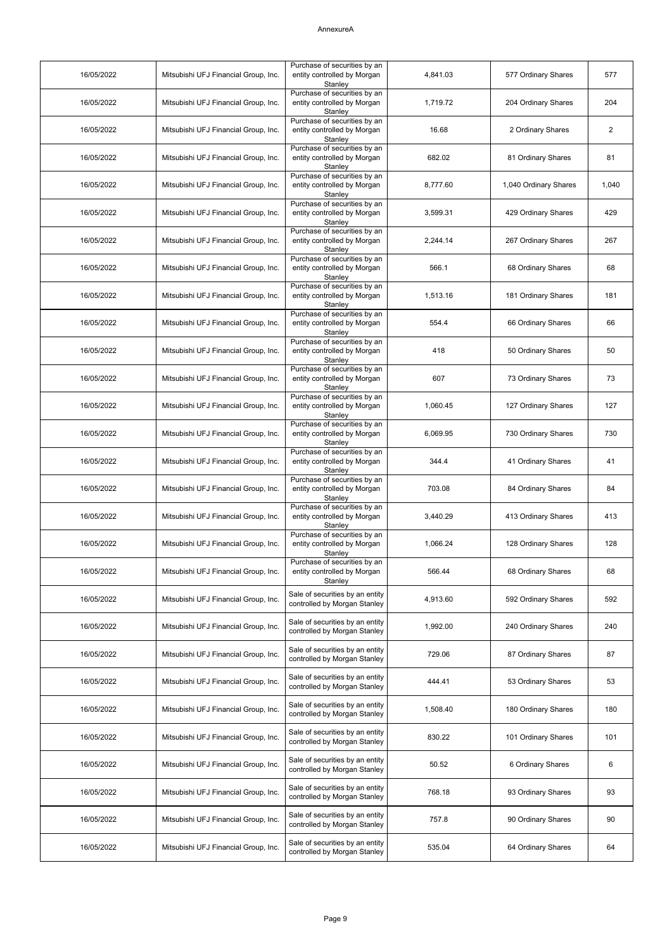| 16/05/2022 | Mitsubishi UFJ Financial Group, Inc. | Purchase of securities by an<br>entity controlled by Morgan<br>Stanley | 4,841.03 | 577 Ordinary Shares   | 577            |
|------------|--------------------------------------|------------------------------------------------------------------------|----------|-----------------------|----------------|
| 16/05/2022 | Mitsubishi UFJ Financial Group, Inc. | Purchase of securities by an<br>entity controlled by Morgan<br>Stanley | 1,719.72 | 204 Ordinary Shares   | 204            |
| 16/05/2022 | Mitsubishi UFJ Financial Group, Inc. | Purchase of securities by an<br>entity controlled by Morgan<br>Stanley | 16.68    | 2 Ordinary Shares     | $\overline{c}$ |
| 16/05/2022 | Mitsubishi UFJ Financial Group, Inc. | Purchase of securities by an<br>entity controlled by Morgan<br>Stanley | 682.02   | 81 Ordinary Shares    | 81             |
| 16/05/2022 | Mitsubishi UFJ Financial Group, Inc. | Purchase of securities by an<br>entity controlled by Morgan<br>Stanley | 8,777.60 | 1,040 Ordinary Shares | 1,040          |
| 16/05/2022 | Mitsubishi UFJ Financial Group, Inc. | Purchase of securities by an<br>entity controlled by Morgan<br>Stanley | 3,599.31 | 429 Ordinary Shares   | 429            |
| 16/05/2022 | Mitsubishi UFJ Financial Group, Inc. | Purchase of securities by an<br>entity controlled by Morgan<br>Stanley | 2,244.14 | 267 Ordinary Shares   | 267            |
| 16/05/2022 | Mitsubishi UFJ Financial Group, Inc. | Purchase of securities by an<br>entity controlled by Morgan<br>Stanley | 566.1    | 68 Ordinary Shares    | 68             |
| 16/05/2022 | Mitsubishi UFJ Financial Group, Inc. | Purchase of securities by an<br>entity controlled by Morgan<br>Stanley | 1,513.16 | 181 Ordinary Shares   | 181            |
| 16/05/2022 | Mitsubishi UFJ Financial Group, Inc. | Purchase of securities by an<br>entity controlled by Morgan<br>Stanley | 554.4    | 66 Ordinary Shares    | 66             |
| 16/05/2022 | Mitsubishi UFJ Financial Group, Inc. | Purchase of securities by an<br>entity controlled by Morgan<br>Stanley | 418      | 50 Ordinary Shares    | 50             |
| 16/05/2022 | Mitsubishi UFJ Financial Group, Inc. | Purchase of securities by an<br>entity controlled by Morgan<br>Stanley | 607      | 73 Ordinary Shares    | 73             |
| 16/05/2022 | Mitsubishi UFJ Financial Group, Inc. | Purchase of securities by an<br>entity controlled by Morgan<br>Stanley | 1,060.45 | 127 Ordinary Shares   | 127            |
| 16/05/2022 | Mitsubishi UFJ Financial Group, Inc. | Purchase of securities by an<br>entity controlled by Morgan<br>Stanley | 6,069.95 | 730 Ordinary Shares   | 730            |
| 16/05/2022 | Mitsubishi UFJ Financial Group, Inc. | Purchase of securities by an<br>entity controlled by Morgan<br>Stanley | 344.4    | 41 Ordinary Shares    | 41             |
| 16/05/2022 | Mitsubishi UFJ Financial Group, Inc. | Purchase of securities by an<br>entity controlled by Morgan<br>Stanley | 703.08   | 84 Ordinary Shares    | 84             |
| 16/05/2022 | Mitsubishi UFJ Financial Group, Inc. | Purchase of securities by an<br>entity controlled by Morgan<br>Stanley | 3,440.29 | 413 Ordinary Shares   | 413            |
| 16/05/2022 | Mitsubishi UFJ Financial Group, Inc. | Purchase of securities by an<br>entity controlled by Morgan<br>Stanley | 1,066.24 | 128 Ordinary Shares   | 128            |
| 16/05/2022 | Mitsubishi UFJ Financial Group, Inc. | Purchase of securities by an<br>entity controlled by Morgan<br>Stanley | 566.44   | 68 Ordinary Shares    | 68             |
| 16/05/2022 | Mitsubishi UFJ Financial Group, Inc. | Sale of securities by an entity<br>controlled by Morgan Stanley        | 4,913.60 | 592 Ordinary Shares   | 592            |
| 16/05/2022 | Mitsubishi UFJ Financial Group, Inc. | Sale of securities by an entity<br>controlled by Morgan Stanley        | 1,992.00 | 240 Ordinary Shares   | 240            |
| 16/05/2022 | Mitsubishi UFJ Financial Group, Inc. | Sale of securities by an entity<br>controlled by Morgan Stanley        | 729.06   | 87 Ordinary Shares    | 87             |
| 16/05/2022 | Mitsubishi UFJ Financial Group, Inc. | Sale of securities by an entity<br>controlled by Morgan Stanley        | 444.41   | 53 Ordinary Shares    | 53             |
| 16/05/2022 | Mitsubishi UFJ Financial Group, Inc. | Sale of securities by an entity<br>controlled by Morgan Stanley        | 1,508.40 | 180 Ordinary Shares   | 180            |
| 16/05/2022 | Mitsubishi UFJ Financial Group, Inc. | Sale of securities by an entity<br>controlled by Morgan Stanley        | 830.22   | 101 Ordinary Shares   | 101            |
| 16/05/2022 | Mitsubishi UFJ Financial Group, Inc. | Sale of securities by an entity<br>controlled by Morgan Stanley        | 50.52    | 6 Ordinary Shares     | 6              |
| 16/05/2022 | Mitsubishi UFJ Financial Group, Inc. | Sale of securities by an entity<br>controlled by Morgan Stanley        | 768.18   | 93 Ordinary Shares    | 93             |
| 16/05/2022 | Mitsubishi UFJ Financial Group, Inc. | Sale of securities by an entity<br>controlled by Morgan Stanley        | 757.8    | 90 Ordinary Shares    | 90             |
| 16/05/2022 | Mitsubishi UFJ Financial Group, Inc. | Sale of securities by an entity<br>controlled by Morgan Stanley        | 535.04   | 64 Ordinary Shares    | 64             |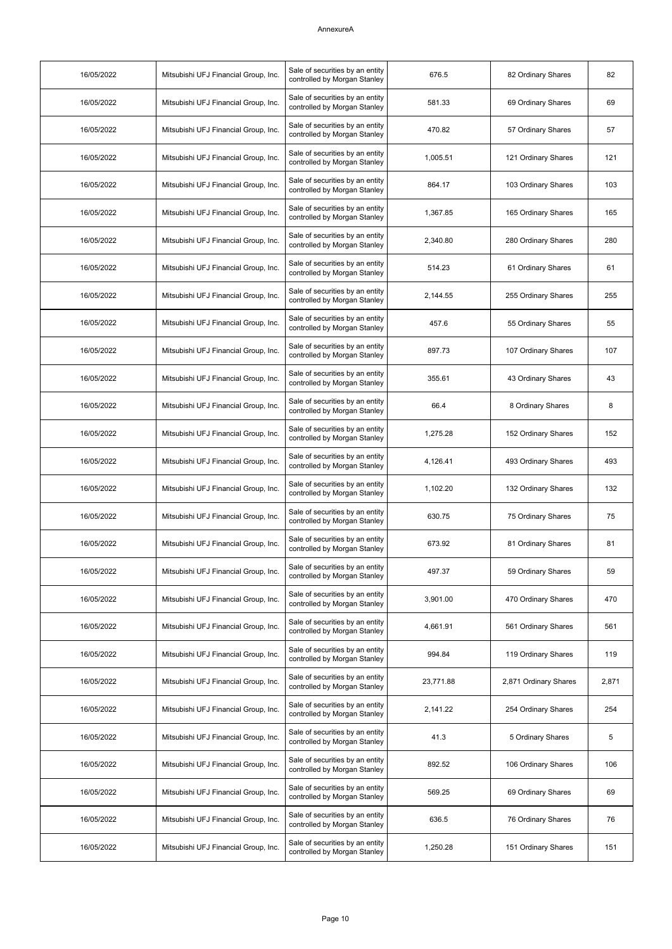| 16/05/2022 | Mitsubishi UFJ Financial Group, Inc. | Sale of securities by an entity<br>controlled by Morgan Stanley | 676.5     | 82 Ordinary Shares    | 82    |
|------------|--------------------------------------|-----------------------------------------------------------------|-----------|-----------------------|-------|
| 16/05/2022 | Mitsubishi UFJ Financial Group, Inc. | Sale of securities by an entity<br>controlled by Morgan Stanley | 581.33    | 69 Ordinary Shares    | 69    |
| 16/05/2022 | Mitsubishi UFJ Financial Group, Inc. | Sale of securities by an entity<br>controlled by Morgan Stanley | 470.82    | 57 Ordinary Shares    | 57    |
| 16/05/2022 | Mitsubishi UFJ Financial Group, Inc. | Sale of securities by an entity<br>controlled by Morgan Stanley | 1,005.51  | 121 Ordinary Shares   | 121   |
| 16/05/2022 | Mitsubishi UFJ Financial Group, Inc. | Sale of securities by an entity<br>controlled by Morgan Stanley | 864.17    | 103 Ordinary Shares   | 103   |
| 16/05/2022 | Mitsubishi UFJ Financial Group, Inc. | Sale of securities by an entity<br>controlled by Morgan Stanley | 1,367.85  | 165 Ordinary Shares   | 165   |
| 16/05/2022 | Mitsubishi UFJ Financial Group, Inc. | Sale of securities by an entity<br>controlled by Morgan Stanley | 2,340.80  | 280 Ordinary Shares   | 280   |
| 16/05/2022 | Mitsubishi UFJ Financial Group, Inc. | Sale of securities by an entity<br>controlled by Morgan Stanley | 514.23    | 61 Ordinary Shares    | 61    |
| 16/05/2022 | Mitsubishi UFJ Financial Group, Inc. | Sale of securities by an entity<br>controlled by Morgan Stanley | 2,144.55  | 255 Ordinary Shares   | 255   |
| 16/05/2022 | Mitsubishi UFJ Financial Group, Inc. | Sale of securities by an entity<br>controlled by Morgan Stanley | 457.6     | 55 Ordinary Shares    | 55    |
| 16/05/2022 | Mitsubishi UFJ Financial Group, Inc. | Sale of securities by an entity<br>controlled by Morgan Stanley | 897.73    | 107 Ordinary Shares   | 107   |
| 16/05/2022 | Mitsubishi UFJ Financial Group, Inc. | Sale of securities by an entity<br>controlled by Morgan Stanley | 355.61    | 43 Ordinary Shares    | 43    |
| 16/05/2022 | Mitsubishi UFJ Financial Group, Inc. | Sale of securities by an entity<br>controlled by Morgan Stanley | 66.4      | 8 Ordinary Shares     | 8     |
| 16/05/2022 | Mitsubishi UFJ Financial Group, Inc. | Sale of securities by an entity<br>controlled by Morgan Stanley | 1,275.28  | 152 Ordinary Shares   | 152   |
| 16/05/2022 | Mitsubishi UFJ Financial Group, Inc. | Sale of securities by an entity<br>controlled by Morgan Stanley | 4,126.41  | 493 Ordinary Shares   | 493   |
| 16/05/2022 | Mitsubishi UFJ Financial Group, Inc. | Sale of securities by an entity<br>controlled by Morgan Stanley | 1,102.20  | 132 Ordinary Shares   | 132   |
| 16/05/2022 | Mitsubishi UFJ Financial Group, Inc. | Sale of securities by an entity<br>controlled by Morgan Stanley | 630.75    | 75 Ordinary Shares    | 75    |
| 16/05/2022 | Mitsubishi UFJ Financial Group, Inc. | Sale of securities by an entity<br>controlled by Morgan Stanley | 673.92    | 81 Ordinary Shares    | 81    |
| 16/05/2022 | Mitsubishi UFJ Financial Group, Inc. | Sale of securities by an entity<br>controlled by Morgan Stanley | 497.37    | 59 Ordinary Shares    | 59    |
| 16/05/2022 | Mitsubishi UFJ Financial Group, Inc. | Sale of securities by an entity<br>controlled by Morgan Stanley | 3,901.00  | 470 Ordinary Shares   | 470   |
| 16/05/2022 | Mitsubishi UFJ Financial Group, Inc. | Sale of securities by an entity<br>controlled by Morgan Stanley | 4,661.91  | 561 Ordinary Shares   | 561   |
| 16/05/2022 | Mitsubishi UFJ Financial Group, Inc. | Sale of securities by an entity<br>controlled by Morgan Stanley | 994.84    | 119 Ordinary Shares   | 119   |
| 16/05/2022 | Mitsubishi UFJ Financial Group, Inc. | Sale of securities by an entity<br>controlled by Morgan Stanley | 23,771.88 | 2,871 Ordinary Shares | 2,871 |
| 16/05/2022 | Mitsubishi UFJ Financial Group, Inc. | Sale of securities by an entity<br>controlled by Morgan Stanley | 2,141.22  | 254 Ordinary Shares   | 254   |
| 16/05/2022 | Mitsubishi UFJ Financial Group, Inc. | Sale of securities by an entity<br>controlled by Morgan Stanley | 41.3      | 5 Ordinary Shares     | 5     |
| 16/05/2022 | Mitsubishi UFJ Financial Group, Inc. | Sale of securities by an entity<br>controlled by Morgan Stanley | 892.52    | 106 Ordinary Shares   | 106   |
| 16/05/2022 | Mitsubishi UFJ Financial Group, Inc. | Sale of securities by an entity<br>controlled by Morgan Stanley | 569.25    | 69 Ordinary Shares    | 69    |
| 16/05/2022 | Mitsubishi UFJ Financial Group, Inc. | Sale of securities by an entity<br>controlled by Morgan Stanley | 636.5     | 76 Ordinary Shares    | 76    |
| 16/05/2022 | Mitsubishi UFJ Financial Group, Inc. | Sale of securities by an entity<br>controlled by Morgan Stanley | 1,250.28  | 151 Ordinary Shares   | 151   |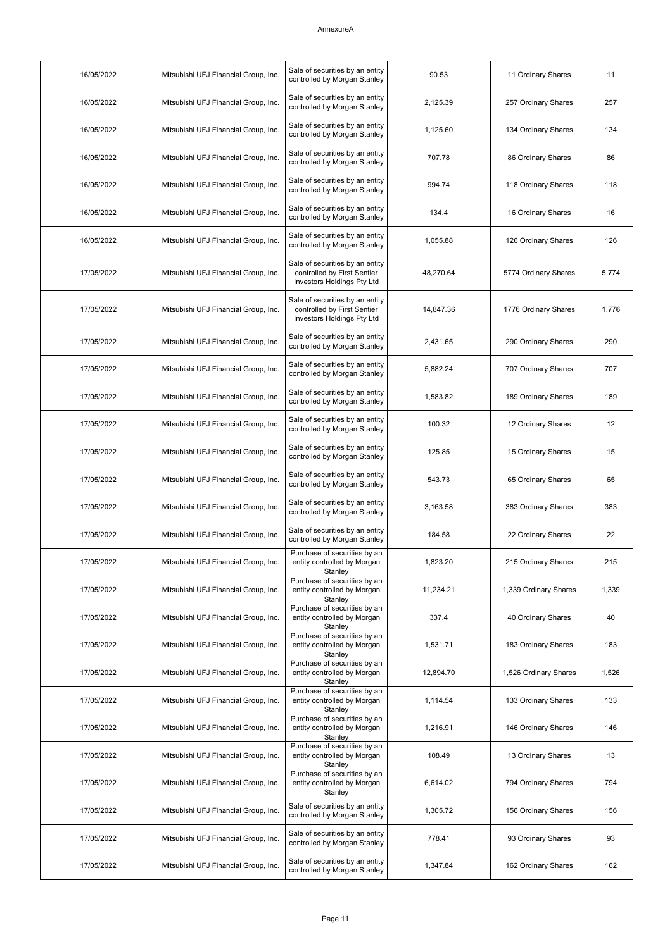| 16/05/2022 | Mitsubishi UFJ Financial Group, Inc. | Sale of securities by an entity<br>controlled by Morgan Stanley                              | 90.53     | 11 Ordinary Shares    | 11    |
|------------|--------------------------------------|----------------------------------------------------------------------------------------------|-----------|-----------------------|-------|
| 16/05/2022 | Mitsubishi UFJ Financial Group, Inc. | Sale of securities by an entity<br>controlled by Morgan Stanley                              | 2,125.39  | 257 Ordinary Shares   | 257   |
| 16/05/2022 | Mitsubishi UFJ Financial Group, Inc. | Sale of securities by an entity<br>controlled by Morgan Stanley                              | 1,125.60  | 134 Ordinary Shares   | 134   |
| 16/05/2022 | Mitsubishi UFJ Financial Group, Inc. | Sale of securities by an entity<br>controlled by Morgan Stanley                              | 707.78    | 86 Ordinary Shares    | 86    |
| 16/05/2022 | Mitsubishi UFJ Financial Group, Inc. | Sale of securities by an entity<br>controlled by Morgan Stanley                              | 994.74    | 118 Ordinary Shares   | 118   |
| 16/05/2022 | Mitsubishi UFJ Financial Group, Inc. | Sale of securities by an entity<br>controlled by Morgan Stanley                              | 134.4     | 16 Ordinary Shares    | 16    |
| 16/05/2022 | Mitsubishi UFJ Financial Group, Inc. | Sale of securities by an entity<br>controlled by Morgan Stanley                              | 1,055.88  | 126 Ordinary Shares   | 126   |
| 17/05/2022 | Mitsubishi UFJ Financial Group, Inc. | Sale of securities by an entity<br>controlled by First Sentier<br>Investors Holdings Pty Ltd | 48,270.64 | 5774 Ordinary Shares  | 5,774 |
| 17/05/2022 | Mitsubishi UFJ Financial Group, Inc. | Sale of securities by an entity<br>controlled by First Sentier<br>Investors Holdings Pty Ltd | 14,847.36 | 1776 Ordinary Shares  | 1,776 |
| 17/05/2022 | Mitsubishi UFJ Financial Group, Inc. | Sale of securities by an entity<br>controlled by Morgan Stanley                              | 2,431.65  | 290 Ordinary Shares   | 290   |
| 17/05/2022 | Mitsubishi UFJ Financial Group, Inc. | Sale of securities by an entity<br>controlled by Morgan Stanley                              | 5,882.24  | 707 Ordinary Shares   | 707   |
| 17/05/2022 | Mitsubishi UFJ Financial Group, Inc. | Sale of securities by an entity<br>controlled by Morgan Stanley                              | 1,583.82  | 189 Ordinary Shares   | 189   |
| 17/05/2022 | Mitsubishi UFJ Financial Group, Inc. | Sale of securities by an entity<br>controlled by Morgan Stanley                              | 100.32    | 12 Ordinary Shares    | 12    |
| 17/05/2022 | Mitsubishi UFJ Financial Group, Inc. | Sale of securities by an entity<br>controlled by Morgan Stanley                              | 125.85    | 15 Ordinary Shares    | 15    |
| 17/05/2022 | Mitsubishi UFJ Financial Group, Inc. | Sale of securities by an entity<br>controlled by Morgan Stanley                              | 543.73    | 65 Ordinary Shares    | 65    |
| 17/05/2022 | Mitsubishi UFJ Financial Group, Inc. | Sale of securities by an entity<br>controlled by Morgan Stanley                              | 3,163.58  | 383 Ordinary Shares   | 383   |
| 17/05/2022 | Mitsubishi UFJ Financial Group, Inc. | Sale of securities by an entity<br>controlled by Morgan Stanley                              | 184.58    | 22 Ordinary Shares    | 22    |
| 17/05/2022 | Mitsubishi UFJ Financial Group, Inc. | Purchase of securities by an<br>entity controlled by Morgan<br>Stanley                       | 1,823.20  | 215 Ordinary Shares   | 215   |
| 17/05/2022 | Mitsubishi UFJ Financial Group, Inc. | Purchase of securities by an<br>entity controlled by Morgan<br>Stanley                       | 11,234.21 | 1,339 Ordinary Shares | 1,339 |
| 17/05/2022 | Mitsubishi UFJ Financial Group, Inc. | Purchase of securities by an<br>entity controlled by Morgan<br>Stanley                       | 337.4     | 40 Ordinary Shares    | 40    |
| 17/05/2022 | Mitsubishi UFJ Financial Group, Inc. | Purchase of securities by an<br>entity controlled by Morgan<br>Stanley                       | 1,531.71  | 183 Ordinary Shares   | 183   |
| 17/05/2022 | Mitsubishi UFJ Financial Group, Inc. | Purchase of securities by an<br>entity controlled by Morgan<br>Stanley                       | 12,894.70 | 1,526 Ordinary Shares | 1,526 |
| 17/05/2022 | Mitsubishi UFJ Financial Group, Inc. | Purchase of securities by an<br>entity controlled by Morgan<br>Stanley                       | 1,114.54  | 133 Ordinary Shares   | 133   |
| 17/05/2022 | Mitsubishi UFJ Financial Group, Inc. | Purchase of securities by an<br>entity controlled by Morgan<br>Stanley                       | 1,216.91  | 146 Ordinary Shares   | 146   |
| 17/05/2022 | Mitsubishi UFJ Financial Group, Inc. | Purchase of securities by an<br>entity controlled by Morgan<br>Stanley                       | 108.49    | 13 Ordinary Shares    | 13    |
| 17/05/2022 | Mitsubishi UFJ Financial Group, Inc. | Purchase of securities by an<br>entity controlled by Morgan<br>Stanley                       | 6,614.02  | 794 Ordinary Shares   | 794   |
| 17/05/2022 | Mitsubishi UFJ Financial Group, Inc. | Sale of securities by an entity<br>controlled by Morgan Stanley                              | 1,305.72  | 156 Ordinary Shares   | 156   |
| 17/05/2022 | Mitsubishi UFJ Financial Group, Inc. | Sale of securities by an entity<br>controlled by Morgan Stanley                              | 778.41    | 93 Ordinary Shares    | 93    |
| 17/05/2022 | Mitsubishi UFJ Financial Group, Inc. | Sale of securities by an entity<br>controlled by Morgan Stanley                              | 1,347.84  | 162 Ordinary Shares   | 162   |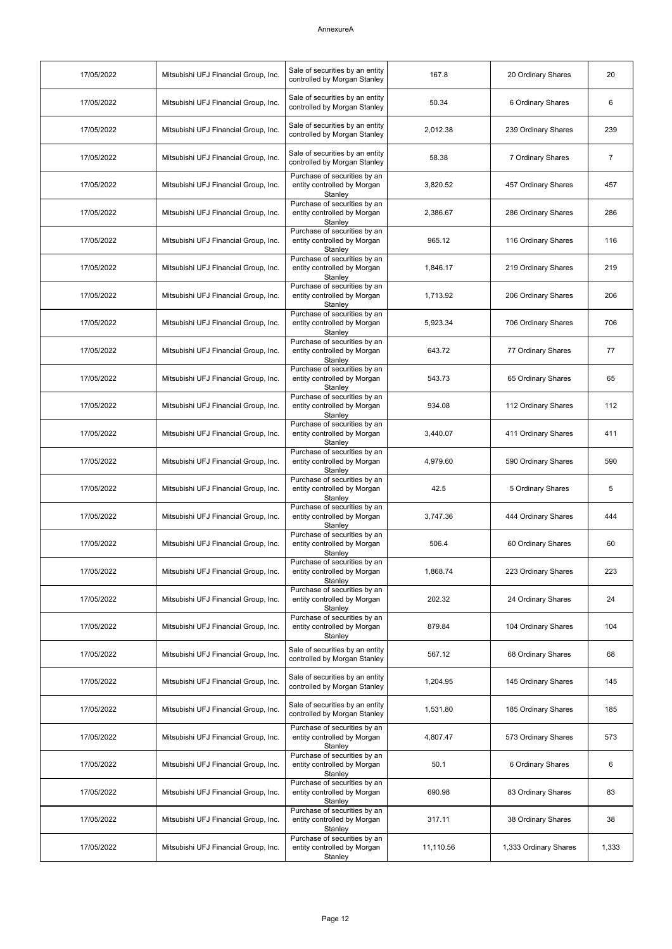| 17/05/2022 | Mitsubishi UFJ Financial Group, Inc. | Sale of securities by an entity<br>controlled by Morgan Stanley        | 167.8     | 20 Ordinary Shares    | 20             |
|------------|--------------------------------------|------------------------------------------------------------------------|-----------|-----------------------|----------------|
| 17/05/2022 | Mitsubishi UFJ Financial Group, Inc. | Sale of securities by an entity<br>controlled by Morgan Stanley        | 50.34     | 6 Ordinary Shares     | 6              |
| 17/05/2022 | Mitsubishi UFJ Financial Group, Inc. | Sale of securities by an entity<br>controlled by Morgan Stanley        | 2,012.38  | 239 Ordinary Shares   | 239            |
| 17/05/2022 | Mitsubishi UFJ Financial Group, Inc. | Sale of securities by an entity<br>controlled by Morgan Stanley        | 58.38     | 7 Ordinary Shares     | $\overline{7}$ |
| 17/05/2022 | Mitsubishi UFJ Financial Group, Inc. | Purchase of securities by an<br>entity controlled by Morgan<br>Stanley | 3,820.52  | 457 Ordinary Shares   | 457            |
| 17/05/2022 | Mitsubishi UFJ Financial Group, Inc. | Purchase of securities by an<br>entity controlled by Morgan<br>Stanley | 2,386.67  | 286 Ordinary Shares   | 286            |
| 17/05/2022 | Mitsubishi UFJ Financial Group, Inc. | Purchase of securities by an<br>entity controlled by Morgan<br>Stanley | 965.12    | 116 Ordinary Shares   | 116            |
| 17/05/2022 | Mitsubishi UFJ Financial Group, Inc. | Purchase of securities by an<br>entity controlled by Morgan<br>Stanley | 1,846.17  | 219 Ordinary Shares   | 219            |
| 17/05/2022 | Mitsubishi UFJ Financial Group, Inc. | Purchase of securities by an<br>entity controlled by Morgan<br>Stanley | 1,713.92  | 206 Ordinary Shares   | 206            |
| 17/05/2022 | Mitsubishi UFJ Financial Group, Inc. | Purchase of securities by an<br>entity controlled by Morgan<br>Stanley | 5,923.34  | 706 Ordinary Shares   | 706            |
| 17/05/2022 | Mitsubishi UFJ Financial Group, Inc. | Purchase of securities by an<br>entity controlled by Morgan<br>Stanley | 643.72    | 77 Ordinary Shares    | 77             |
| 17/05/2022 | Mitsubishi UFJ Financial Group, Inc. | Purchase of securities by an<br>entity controlled by Morgan<br>Stanley | 543.73    | 65 Ordinary Shares    | 65             |
| 17/05/2022 | Mitsubishi UFJ Financial Group, Inc. | Purchase of securities by an<br>entity controlled by Morgan<br>Stanley | 934.08    | 112 Ordinary Shares   | 112            |
| 17/05/2022 | Mitsubishi UFJ Financial Group, Inc. | Purchase of securities by an<br>entity controlled by Morgan<br>Stanley | 3,440.07  | 411 Ordinary Shares   | 411            |
| 17/05/2022 | Mitsubishi UFJ Financial Group, Inc. | Purchase of securities by an<br>entity controlled by Morgan<br>Stanley | 4,979.60  | 590 Ordinary Shares   | 590            |
| 17/05/2022 | Mitsubishi UFJ Financial Group, Inc. | Purchase of securities by an<br>entity controlled by Morgan<br>Stanley | 42.5      | 5 Ordinary Shares     | 5              |
| 17/05/2022 | Mitsubishi UFJ Financial Group, Inc. | Purchase of securities by an<br>entity controlled by Morgan<br>Stanley | 3,747.36  | 444 Ordinary Shares   | 444            |
| 17/05/2022 | Mitsubishi UFJ Financial Group, Inc. | Purchase of securities by an<br>entity controlled by Morgan<br>Stanley | 506.4     | 60 Ordinary Shares    | 60             |
| 17/05/2022 | Mitsubishi UFJ Financial Group, Inc. | Purchase of securities by an<br>entity controlled by Morgan<br>Stanley | 1,868.74  | 223 Ordinary Shares   | 223            |
| 17/05/2022 | Mitsubishi UFJ Financial Group, Inc. | Purchase of securities by an<br>entity controlled by Morgan<br>Stanlev | 202.32    | 24 Ordinary Shares    | 24             |
| 17/05/2022 | Mitsubishi UFJ Financial Group, Inc. | Purchase of securities by an<br>entity controlled by Morgan<br>Stanley | 879.84    | 104 Ordinary Shares   | 104            |
| 17/05/2022 | Mitsubishi UFJ Financial Group, Inc. | Sale of securities by an entity<br>controlled by Morgan Stanley        | 567.12    | 68 Ordinary Shares    | 68             |
| 17/05/2022 | Mitsubishi UFJ Financial Group, Inc. | Sale of securities by an entity<br>controlled by Morgan Stanley        | 1,204.95  | 145 Ordinary Shares   | 145            |
| 17/05/2022 | Mitsubishi UFJ Financial Group, Inc. | Sale of securities by an entity<br>controlled by Morgan Stanley        | 1,531.80  | 185 Ordinary Shares   | 185            |
| 17/05/2022 | Mitsubishi UFJ Financial Group, Inc. | Purchase of securities by an<br>entity controlled by Morgan<br>Stanley | 4,807.47  | 573 Ordinary Shares   | 573            |
| 17/05/2022 | Mitsubishi UFJ Financial Group, Inc. | Purchase of securities by an<br>entity controlled by Morgan<br>Stanley | 50.1      | 6 Ordinary Shares     | 6              |
| 17/05/2022 | Mitsubishi UFJ Financial Group, Inc. | Purchase of securities by an<br>entity controlled by Morgan<br>Stanley | 690.98    | 83 Ordinary Shares    | 83             |
| 17/05/2022 | Mitsubishi UFJ Financial Group, Inc. | Purchase of securities by an<br>entity controlled by Morgan<br>Stanley | 317.11    | 38 Ordinary Shares    | 38             |
| 17/05/2022 | Mitsubishi UFJ Financial Group, Inc. | Purchase of securities by an<br>entity controlled by Morgan<br>Stanley | 11,110.56 | 1,333 Ordinary Shares | 1,333          |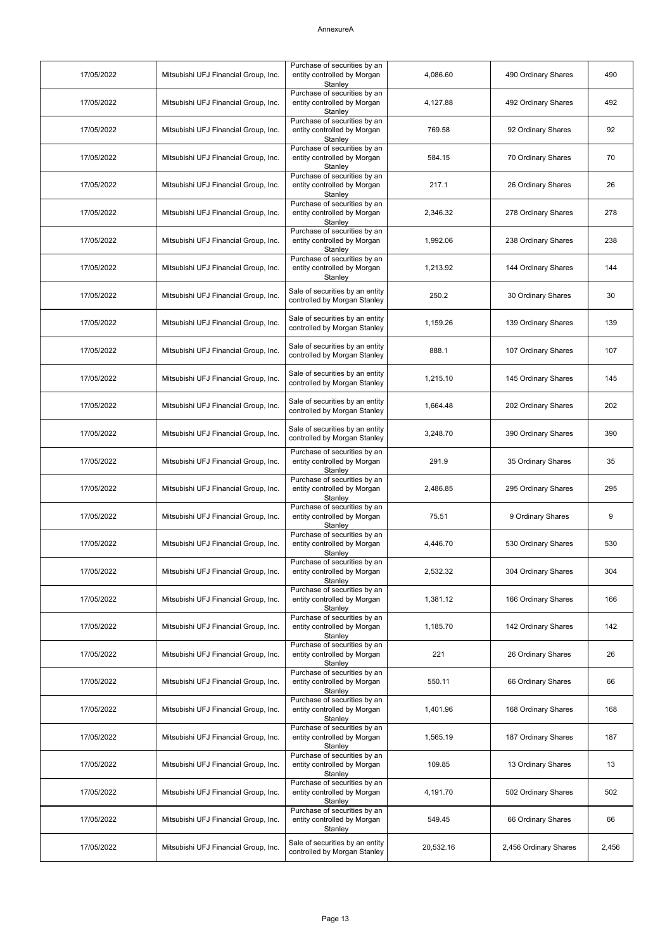| 17/05/2022 | Mitsubishi UFJ Financial Group, Inc. | Purchase of securities by an<br>entity controlled by Morgan                | 4,086.60  | 490 Ordinary Shares   | 490   |
|------------|--------------------------------------|----------------------------------------------------------------------------|-----------|-----------------------|-------|
| 17/05/2022 | Mitsubishi UFJ Financial Group, Inc. | Stanley<br>Purchase of securities by an<br>entity controlled by Morgan     | 4,127.88  | 492 Ordinary Shares   | 492   |
| 17/05/2022 | Mitsubishi UFJ Financial Group, Inc. | Stanley<br>Purchase of securities by an<br>entity controlled by Morgan     | 769.58    | 92 Ordinary Shares    | 92    |
| 17/05/2022 | Mitsubishi UFJ Financial Group, Inc. | Stanley<br>Purchase of securities by an<br>entity controlled by Morgan     | 584.15    | 70 Ordinary Shares    | 70    |
| 17/05/2022 | Mitsubishi UFJ Financial Group, Inc. | Stanley<br>Purchase of securities by an<br>entity controlled by Morgan     | 217.1     | 26 Ordinary Shares    | 26    |
| 17/05/2022 | Mitsubishi UFJ Financial Group, Inc. | Stanley<br>Purchase of securities by an<br>entity controlled by Morgan     | 2,346.32  | 278 Ordinary Shares   | 278   |
| 17/05/2022 | Mitsubishi UFJ Financial Group, Inc. | Stanley<br>Purchase of securities by an<br>entity controlled by Morgan     | 1,992.06  | 238 Ordinary Shares   | 238   |
| 17/05/2022 | Mitsubishi UFJ Financial Group, Inc. | Stanley<br>Purchase of securities by an<br>entity controlled by Morgan     | 1,213.92  | 144 Ordinary Shares   | 144   |
| 17/05/2022 | Mitsubishi UFJ Financial Group, Inc. | Stanley<br>Sale of securities by an entity<br>controlled by Morgan Stanley | 250.2     | 30 Ordinary Shares    | 30    |
| 17/05/2022 | Mitsubishi UFJ Financial Group, Inc. | Sale of securities by an entity<br>controlled by Morgan Stanley            | 1,159.26  | 139 Ordinary Shares   | 139   |
| 17/05/2022 | Mitsubishi UFJ Financial Group, Inc. | Sale of securities by an entity<br>controlled by Morgan Stanley            | 888.1     | 107 Ordinary Shares   | 107   |
| 17/05/2022 | Mitsubishi UFJ Financial Group, Inc. | Sale of securities by an entity<br>controlled by Morgan Stanley            | 1,215.10  | 145 Ordinary Shares   | 145   |
| 17/05/2022 | Mitsubishi UFJ Financial Group, Inc. | Sale of securities by an entity<br>controlled by Morgan Stanley            | 1,664.48  | 202 Ordinary Shares   | 202   |
| 17/05/2022 | Mitsubishi UFJ Financial Group, Inc. | Sale of securities by an entity<br>controlled by Morgan Stanley            | 3,248.70  | 390 Ordinary Shares   | 390   |
| 17/05/2022 | Mitsubishi UFJ Financial Group, Inc. | Purchase of securities by an<br>entity controlled by Morgan<br>Stanley     | 291.9     | 35 Ordinary Shares    | 35    |
| 17/05/2022 | Mitsubishi UFJ Financial Group, Inc. | Purchase of securities by an<br>entity controlled by Morgan<br>Stanley     | 2,486.85  | 295 Ordinary Shares   | 295   |
| 17/05/2022 | Mitsubishi UFJ Financial Group, Inc. | Purchase of securities by an<br>entity controlled by Morgan<br>Stanley     | 75.51     | 9 Ordinary Shares     | 9     |
| 17/05/2022 | Mitsubishi UFJ Financial Group, Inc. | Purchase of securities by an<br>entity controlled by Morgan<br>Stanley     | 4,446.70  | 530 Ordinary Shares   | 530   |
| 17/05/2022 | Mitsubishi UFJ Financial Group, Inc. | Purchase of securities by an<br>entity controlled by Morgan<br>Stanley     | 2,532.32  | 304 Ordinary Shares   | 304   |
| 17/05/2022 | Mitsubishi UFJ Financial Group, Inc. | Purchase of securities by an<br>entity controlled by Morgan<br>Stanley     | 1,381.12  | 166 Ordinary Shares   | 166   |
| 17/05/2022 | Mitsubishi UFJ Financial Group, Inc. | Purchase of securities by an<br>entity controlled by Morgan<br>Stanley     | 1,185.70  | 142 Ordinary Shares   | 142   |
| 17/05/2022 | Mitsubishi UFJ Financial Group, Inc. | Purchase of securities by an<br>entity controlled by Morgan<br>Stanley     | 221       | 26 Ordinary Shares    | 26    |
| 17/05/2022 | Mitsubishi UFJ Financial Group, Inc. | Purchase of securities by an<br>entity controlled by Morgan<br>Stanley     | 550.11    | 66 Ordinary Shares    | 66    |
| 17/05/2022 | Mitsubishi UFJ Financial Group, Inc. | Purchase of securities by an<br>entity controlled by Morgan<br>Stanley     | 1,401.96  | 168 Ordinary Shares   | 168   |
| 17/05/2022 | Mitsubishi UFJ Financial Group, Inc. | Purchase of securities by an<br>entity controlled by Morgan<br>Stanley     | 1,565.19  | 187 Ordinary Shares   | 187   |
| 17/05/2022 | Mitsubishi UFJ Financial Group, Inc. | Purchase of securities by an<br>entity controlled by Morgan<br>Stanley     | 109.85    | 13 Ordinary Shares    | 13    |
| 17/05/2022 | Mitsubishi UFJ Financial Group, Inc. | Purchase of securities by an<br>entity controlled by Morgan<br>Stanley     | 4,191.70  | 502 Ordinary Shares   | 502   |
| 17/05/2022 | Mitsubishi UFJ Financial Group, Inc. | Purchase of securities by an<br>entity controlled by Morgan<br>Stanley     | 549.45    | 66 Ordinary Shares    | 66    |
| 17/05/2022 | Mitsubishi UFJ Financial Group, Inc. | Sale of securities by an entity<br>controlled by Morgan Stanley            | 20,532.16 | 2,456 Ordinary Shares | 2,456 |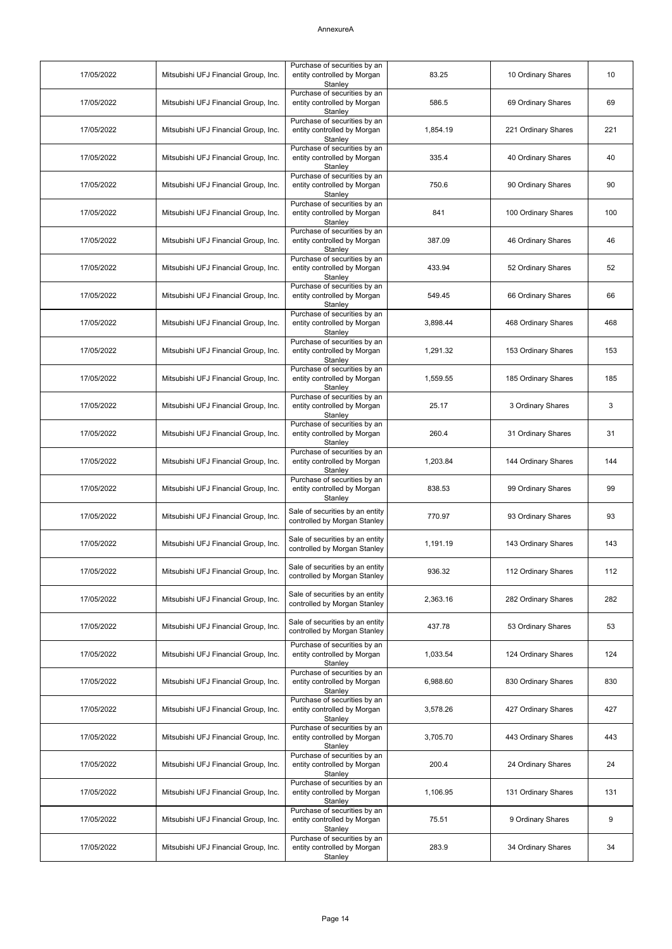| 17/05/2022 | Mitsubishi UFJ Financial Group, Inc. | Purchase of securities by an<br>entity controlled by Morgan<br>Stanley | 83.25    | 10 Ordinary Shares  | 10  |
|------------|--------------------------------------|------------------------------------------------------------------------|----------|---------------------|-----|
| 17/05/2022 | Mitsubishi UFJ Financial Group, Inc. | Purchase of securities by an<br>entity controlled by Morgan<br>Stanley | 586.5    | 69 Ordinary Shares  | 69  |
| 17/05/2022 | Mitsubishi UFJ Financial Group, Inc. | Purchase of securities by an<br>entity controlled by Morgan<br>Stanley | 1,854.19 | 221 Ordinary Shares | 221 |
| 17/05/2022 | Mitsubishi UFJ Financial Group, Inc. | Purchase of securities by an<br>entity controlled by Morgan<br>Stanley | 335.4    | 40 Ordinary Shares  | 40  |
| 17/05/2022 | Mitsubishi UFJ Financial Group, Inc. | Purchase of securities by an<br>entity controlled by Morgan<br>Stanley | 750.6    | 90 Ordinary Shares  | 90  |
| 17/05/2022 | Mitsubishi UFJ Financial Group, Inc. | Purchase of securities by an<br>entity controlled by Morgan<br>Stanley | 841      | 100 Ordinary Shares | 100 |
| 17/05/2022 | Mitsubishi UFJ Financial Group, Inc. | Purchase of securities by an<br>entity controlled by Morgan<br>Stanley | 387.09   | 46 Ordinary Shares  | 46  |
| 17/05/2022 | Mitsubishi UFJ Financial Group, Inc. | Purchase of securities by an<br>entity controlled by Morgan<br>Stanley | 433.94   | 52 Ordinary Shares  | 52  |
| 17/05/2022 | Mitsubishi UFJ Financial Group, Inc. | Purchase of securities by an<br>entity controlled by Morgan<br>Stanley | 549.45   | 66 Ordinary Shares  | 66  |
| 17/05/2022 | Mitsubishi UFJ Financial Group, Inc. | Purchase of securities by an<br>entity controlled by Morgan<br>Stanley | 3,898.44 | 468 Ordinary Shares | 468 |
| 17/05/2022 | Mitsubishi UFJ Financial Group, Inc. | Purchase of securities by an<br>entity controlled by Morgan<br>Stanley | 1.291.32 | 153 Ordinary Shares | 153 |
| 17/05/2022 | Mitsubishi UFJ Financial Group, Inc. | Purchase of securities by an<br>entity controlled by Morgan<br>Stanley | 1,559.55 | 185 Ordinary Shares | 185 |
| 17/05/2022 | Mitsubishi UFJ Financial Group, Inc. | Purchase of securities by an<br>entity controlled by Morgan<br>Stanley | 25.17    | 3 Ordinary Shares   | 3   |
| 17/05/2022 | Mitsubishi UFJ Financial Group, Inc. | Purchase of securities by an<br>entity controlled by Morgan<br>Stanley | 260.4    | 31 Ordinary Shares  | 31  |
| 17/05/2022 | Mitsubishi UFJ Financial Group, Inc. | Purchase of securities by an<br>entity controlled by Morgan<br>Stanley | 1,203.84 | 144 Ordinary Shares | 144 |
| 17/05/2022 | Mitsubishi UFJ Financial Group, Inc. | Purchase of securities by an<br>entity controlled by Morgan<br>Stanley | 838.53   | 99 Ordinary Shares  | 99  |
| 17/05/2022 | Mitsubishi UFJ Financial Group, Inc. | Sale of securities by an entity<br>controlled by Morgan Stanley        | 770.97   | 93 Ordinary Shares  | 93  |
| 17/05/2022 | Mitsubishi UFJ Financial Group, Inc. | Sale of securities by an entity<br>controlled by Morgan Stanley        | 1,191.19 | 143 Ordinary Shares | 143 |
| 17/05/2022 | Mitsubishi UFJ Financial Group, Inc. | Sale of securities by an entity<br>controlled by Morgan Stanley        | 936.32   | 112 Ordinary Shares | 112 |
| 17/05/2022 | Mitsubishi UFJ Financial Group, Inc. | Sale of securities by an entity<br>controlled by Morgan Stanley        | 2,363.16 | 282 Ordinary Shares | 282 |
| 17/05/2022 | Mitsubishi UFJ Financial Group, Inc. | Sale of securities by an entity<br>controlled by Morgan Stanley        | 437.78   | 53 Ordinary Shares  | 53  |
| 17/05/2022 | Mitsubishi UFJ Financial Group, Inc. | Purchase of securities by an<br>entity controlled by Morgan<br>Stanley | 1,033.54 | 124 Ordinary Shares | 124 |
| 17/05/2022 | Mitsubishi UFJ Financial Group, Inc. | Purchase of securities by an<br>entity controlled by Morgan<br>Stanley | 6,988.60 | 830 Ordinary Shares | 830 |
| 17/05/2022 | Mitsubishi UFJ Financial Group, Inc. | Purchase of securities by an<br>entity controlled by Morgan<br>Stanley | 3,578.26 | 427 Ordinary Shares | 427 |
| 17/05/2022 | Mitsubishi UFJ Financial Group, Inc. | Purchase of securities by an<br>entity controlled by Morgan<br>Stanley | 3,705.70 | 443 Ordinary Shares | 443 |
| 17/05/2022 | Mitsubishi UFJ Financial Group, Inc. | Purchase of securities by an<br>entity controlled by Morgan<br>Stanley | 200.4    | 24 Ordinary Shares  | 24  |
| 17/05/2022 | Mitsubishi UFJ Financial Group, Inc. | Purchase of securities by an<br>entity controlled by Morgan<br>Stanley | 1,106.95 | 131 Ordinary Shares | 131 |
| 17/05/2022 | Mitsubishi UFJ Financial Group, Inc. | Purchase of securities by an<br>entity controlled by Morgan<br>Stanley | 75.51    | 9 Ordinary Shares   | 9   |
| 17/05/2022 | Mitsubishi UFJ Financial Group, Inc. | Purchase of securities by an<br>entity controlled by Morgan<br>Stanley | 283.9    | 34 Ordinary Shares  | 34  |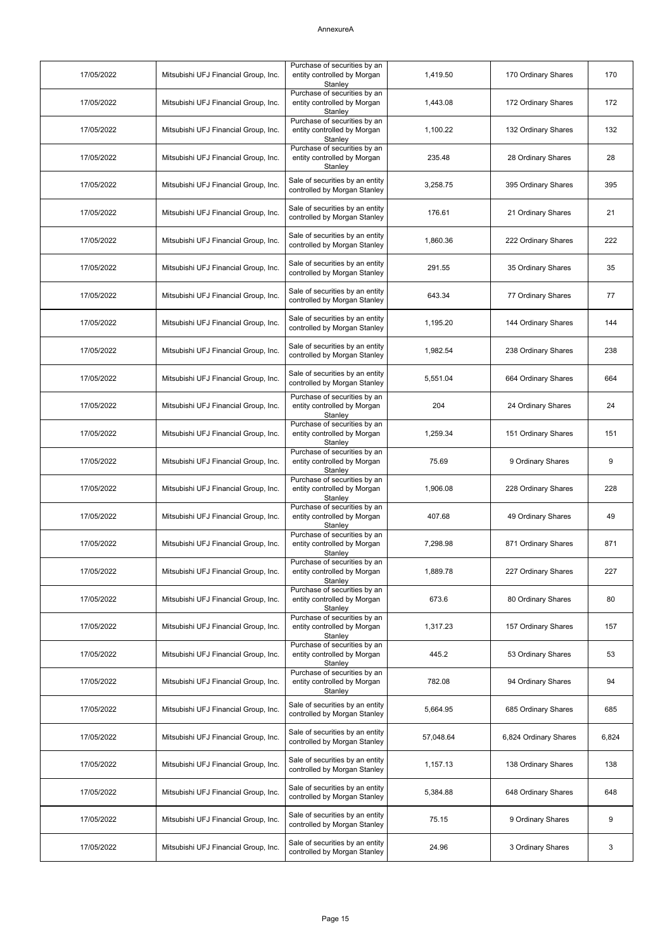| 17/05/2022 | Mitsubishi UFJ Financial Group, Inc. | Purchase of securities by an<br>entity controlled by Morgan<br>Stanley | 1,419.50  | 170 Ordinary Shares   | 170   |
|------------|--------------------------------------|------------------------------------------------------------------------|-----------|-----------------------|-------|
| 17/05/2022 | Mitsubishi UFJ Financial Group, Inc. | Purchase of securities by an<br>entity controlled by Morgan<br>Stanley | 1,443.08  | 172 Ordinary Shares   | 172   |
| 17/05/2022 | Mitsubishi UFJ Financial Group, Inc. | Purchase of securities by an<br>entity controlled by Morgan<br>Stanley | 1,100.22  | 132 Ordinary Shares   | 132   |
| 17/05/2022 | Mitsubishi UFJ Financial Group, Inc. | Purchase of securities by an<br>entity controlled by Morgan<br>Stanley | 235.48    | 28 Ordinary Shares    | 28    |
| 17/05/2022 | Mitsubishi UFJ Financial Group, Inc. | Sale of securities by an entity<br>controlled by Morgan Stanley        | 3,258.75  | 395 Ordinary Shares   | 395   |
| 17/05/2022 | Mitsubishi UFJ Financial Group, Inc. | Sale of securities by an entity<br>controlled by Morgan Stanley        | 176.61    | 21 Ordinary Shares    | 21    |
| 17/05/2022 | Mitsubishi UFJ Financial Group, Inc. | Sale of securities by an entity<br>controlled by Morgan Stanley        | 1,860.36  | 222 Ordinary Shares   | 222   |
| 17/05/2022 | Mitsubishi UFJ Financial Group, Inc. | Sale of securities by an entity<br>controlled by Morgan Stanley        | 291.55    | 35 Ordinary Shares    | 35    |
| 17/05/2022 | Mitsubishi UFJ Financial Group, Inc. | Sale of securities by an entity<br>controlled by Morgan Stanley        | 643.34    | 77 Ordinary Shares    | 77    |
| 17/05/2022 | Mitsubishi UFJ Financial Group, Inc. | Sale of securities by an entity<br>controlled by Morgan Stanley        | 1,195.20  | 144 Ordinary Shares   | 144   |
| 17/05/2022 | Mitsubishi UFJ Financial Group, Inc. | Sale of securities by an entity<br>controlled by Morgan Stanley        | 1,982.54  | 238 Ordinary Shares   | 238   |
| 17/05/2022 | Mitsubishi UFJ Financial Group, Inc. | Sale of securities by an entity<br>controlled by Morgan Stanley        | 5,551.04  | 664 Ordinary Shares   | 664   |
| 17/05/2022 | Mitsubishi UFJ Financial Group, Inc. | Purchase of securities by an<br>entity controlled by Morgan<br>Stanley | 204       | 24 Ordinary Shares    | 24    |
| 17/05/2022 | Mitsubishi UFJ Financial Group, Inc. | Purchase of securities by an<br>entity controlled by Morgan<br>Stanley | 1,259.34  | 151 Ordinary Shares   | 151   |
| 17/05/2022 | Mitsubishi UFJ Financial Group, Inc. | Purchase of securities by an<br>entity controlled by Morgan<br>Stanley | 75.69     | 9 Ordinary Shares     | 9     |
| 17/05/2022 | Mitsubishi UFJ Financial Group, Inc. | Purchase of securities by an<br>entity controlled by Morgan<br>Stanley | 1,906.08  | 228 Ordinary Shares   | 228   |
| 17/05/2022 | Mitsubishi UFJ Financial Group, Inc. | Purchase of securities by an<br>entity controlled by Morgan<br>Stanley | 407.68    | 49 Ordinary Shares    | 49    |
| 17/05/2022 | Mitsubishi UFJ Financial Group, Inc. | Purchase of securities by an<br>entity controlled by Morgan<br>Stanley | 7,298.98  | 871 Ordinary Shares   | 871   |
| 17/05/2022 | Mitsubishi UFJ Financial Group, Inc. | Purchase of securities by an<br>entity controlled by Morgan<br>Stanley | 1,889.78  | 227 Ordinary Shares   | 227   |
| 17/05/2022 | Mitsubishi UFJ Financial Group, Inc. | Purchase of securities by an<br>entity controlled by Morgan<br>Stanley | 673.6     | 80 Ordinary Shares    | 80    |
| 17/05/2022 | Mitsubishi UFJ Financial Group, Inc. | Purchase of securities by an<br>entity controlled by Morgan<br>Stanley | 1,317.23  | 157 Ordinary Shares   | 157   |
| 17/05/2022 | Mitsubishi UFJ Financial Group, Inc. | Purchase of securities by an<br>entity controlled by Morgan<br>Stanley | 445.2     | 53 Ordinary Shares    | 53    |
| 17/05/2022 | Mitsubishi UFJ Financial Group, Inc. | Purchase of securities by an<br>entity controlled by Morgan<br>Stanley | 782.08    | 94 Ordinary Shares    | 94    |
| 17/05/2022 | Mitsubishi UFJ Financial Group, Inc. | Sale of securities by an entity<br>controlled by Morgan Stanley        | 5,664.95  | 685 Ordinary Shares   | 685   |
| 17/05/2022 | Mitsubishi UFJ Financial Group, Inc. | Sale of securities by an entity<br>controlled by Morgan Stanley        | 57,048.64 | 6,824 Ordinary Shares | 6,824 |
| 17/05/2022 | Mitsubishi UFJ Financial Group, Inc. | Sale of securities by an entity<br>controlled by Morgan Stanley        | 1,157.13  | 138 Ordinary Shares   | 138   |
| 17/05/2022 | Mitsubishi UFJ Financial Group, Inc. | Sale of securities by an entity<br>controlled by Morgan Stanley        | 5,384.88  | 648 Ordinary Shares   | 648   |
| 17/05/2022 | Mitsubishi UFJ Financial Group, Inc. | Sale of securities by an entity<br>controlled by Morgan Stanley        | 75.15     | 9 Ordinary Shares     | 9     |
| 17/05/2022 | Mitsubishi UFJ Financial Group, Inc. | Sale of securities by an entity<br>controlled by Morgan Stanley        | 24.96     | 3 Ordinary Shares     | 3     |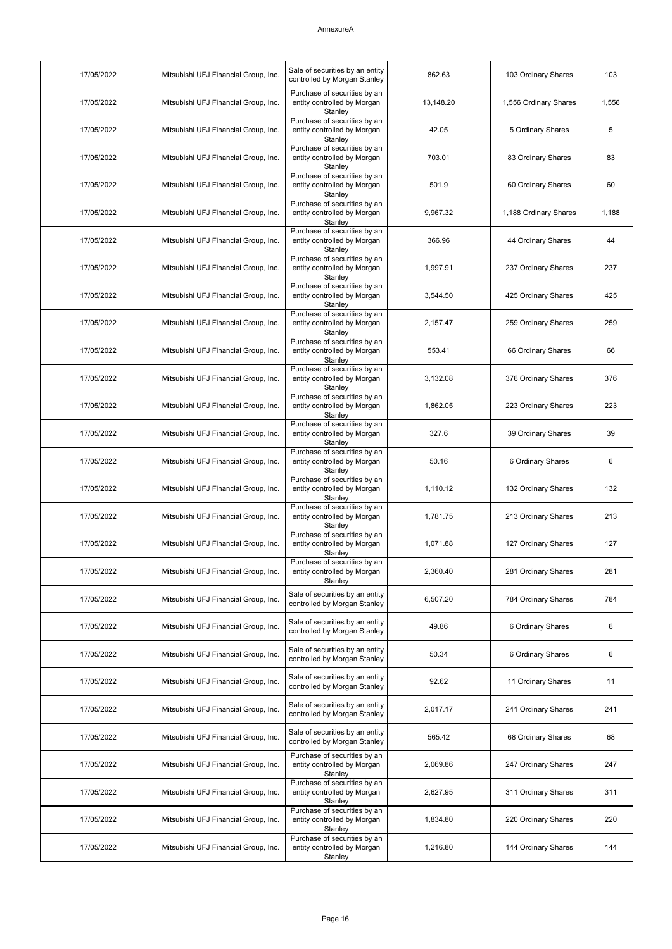| 17/05/2022 | Mitsubishi UFJ Financial Group, Inc. | Sale of securities by an entity<br>controlled by Morgan Stanley        | 862.63    | 103 Ordinary Shares   | 103   |
|------------|--------------------------------------|------------------------------------------------------------------------|-----------|-----------------------|-------|
| 17/05/2022 | Mitsubishi UFJ Financial Group, Inc. | Purchase of securities by an<br>entity controlled by Morgan<br>Stanley | 13,148.20 | 1,556 Ordinary Shares | 1,556 |
| 17/05/2022 | Mitsubishi UFJ Financial Group, Inc. | Purchase of securities by an<br>entity controlled by Morgan<br>Stanley | 42.05     | 5 Ordinary Shares     | 5     |
| 17/05/2022 | Mitsubishi UFJ Financial Group, Inc. | Purchase of securities by an<br>entity controlled by Morgan<br>Stanley | 703.01    | 83 Ordinary Shares    | 83    |
| 17/05/2022 | Mitsubishi UFJ Financial Group, Inc. | Purchase of securities by an<br>entity controlled by Morgan<br>Stanley | 501.9     | 60 Ordinary Shares    | 60    |
| 17/05/2022 | Mitsubishi UFJ Financial Group, Inc. | Purchase of securities by an<br>entity controlled by Morgan<br>Stanley | 9,967.32  | 1,188 Ordinary Shares | 1,188 |
| 17/05/2022 | Mitsubishi UFJ Financial Group, Inc. | Purchase of securities by an<br>entity controlled by Morgan<br>Stanley | 366.96    | 44 Ordinary Shares    | 44    |
| 17/05/2022 | Mitsubishi UFJ Financial Group, Inc. | Purchase of securities by an<br>entity controlled by Morgan<br>Stanley | 1,997.91  | 237 Ordinary Shares   | 237   |
| 17/05/2022 | Mitsubishi UFJ Financial Group, Inc. | Purchase of securities by an<br>entity controlled by Morgan<br>Stanlev | 3.544.50  | 425 Ordinary Shares   | 425   |
| 17/05/2022 | Mitsubishi UFJ Financial Group, Inc. | Purchase of securities by an<br>entity controlled by Morgan<br>Stanley | 2,157.47  | 259 Ordinary Shares   | 259   |
| 17/05/2022 | Mitsubishi UFJ Financial Group, Inc. | Purchase of securities by an<br>entity controlled by Morgan<br>Stanley | 553.41    | 66 Ordinary Shares    | 66    |
| 17/05/2022 | Mitsubishi UFJ Financial Group, Inc. | Purchase of securities by an<br>entity controlled by Morgan<br>Stanley | 3,132.08  | 376 Ordinary Shares   | 376   |
| 17/05/2022 | Mitsubishi UFJ Financial Group, Inc. | Purchase of securities by an<br>entity controlled by Morgan<br>Stanley | 1,862.05  | 223 Ordinary Shares   | 223   |
| 17/05/2022 | Mitsubishi UFJ Financial Group, Inc. | Purchase of securities by an<br>entity controlled by Morgan<br>Stanley | 327.6     | 39 Ordinary Shares    | 39    |
| 17/05/2022 | Mitsubishi UFJ Financial Group, Inc. | Purchase of securities by an<br>entity controlled by Morgan<br>Stanley | 50.16     | 6 Ordinary Shares     | 6     |
| 17/05/2022 | Mitsubishi UFJ Financial Group, Inc. | Purchase of securities by an<br>entity controlled by Morgan<br>Stanley | 1,110.12  | 132 Ordinary Shares   | 132   |
| 17/05/2022 | Mitsubishi UFJ Financial Group, Inc. | Purchase of securities by an<br>entity controlled by Morgan<br>Stanley | 1,781.75  | 213 Ordinary Shares   | 213   |
| 17/05/2022 | Mitsubishi UFJ Financial Group, Inc. | Purchase of securities by an<br>entity controlled by Morgan<br>Stanley | 1,071.88  | 127 Ordinary Shares   | 127   |
| 17/05/2022 | Mitsubishi UFJ Financial Group, Inc. | Purchase of securities by an<br>entity controlled by Morgan<br>Stanley | 2,360.40  | 281 Ordinary Shares   | 281   |
| 17/05/2022 | Mitsubishi UFJ Financial Group, Inc. | Sale of securities by an entity<br>controlled by Morgan Stanley        | 6,507.20  | 784 Ordinary Shares   | 784   |
| 17/05/2022 | Mitsubishi UFJ Financial Group, Inc. | Sale of securities by an entity<br>controlled by Morgan Stanley        | 49.86     | 6 Ordinary Shares     | 6     |
| 17/05/2022 | Mitsubishi UFJ Financial Group, Inc. | Sale of securities by an entity<br>controlled by Morgan Stanley        | 50.34     | 6 Ordinary Shares     | 6     |
| 17/05/2022 | Mitsubishi UFJ Financial Group, Inc. | Sale of securities by an entity<br>controlled by Morgan Stanley        | 92.62     | 11 Ordinary Shares    | 11    |
| 17/05/2022 | Mitsubishi UFJ Financial Group, Inc. | Sale of securities by an entity<br>controlled by Morgan Stanley        | 2,017.17  | 241 Ordinary Shares   | 241   |
| 17/05/2022 | Mitsubishi UFJ Financial Group, Inc. | Sale of securities by an entity<br>controlled by Morgan Stanley        | 565.42    | 68 Ordinary Shares    | 68    |
| 17/05/2022 | Mitsubishi UFJ Financial Group, Inc. | Purchase of securities by an<br>entity controlled by Morgan<br>Stanley | 2,069.86  | 247 Ordinary Shares   | 247   |
| 17/05/2022 | Mitsubishi UFJ Financial Group, Inc. | Purchase of securities by an<br>entity controlled by Morgan<br>Stanley | 2,627.95  | 311 Ordinary Shares   | 311   |
| 17/05/2022 | Mitsubishi UFJ Financial Group, Inc. | Purchase of securities by an<br>entity controlled by Morgan<br>Stanley | 1,834.80  | 220 Ordinary Shares   | 220   |
| 17/05/2022 | Mitsubishi UFJ Financial Group, Inc. | Purchase of securities by an<br>entity controlled by Morgan<br>Stanley | 1,216.80  | 144 Ordinary Shares   | 144   |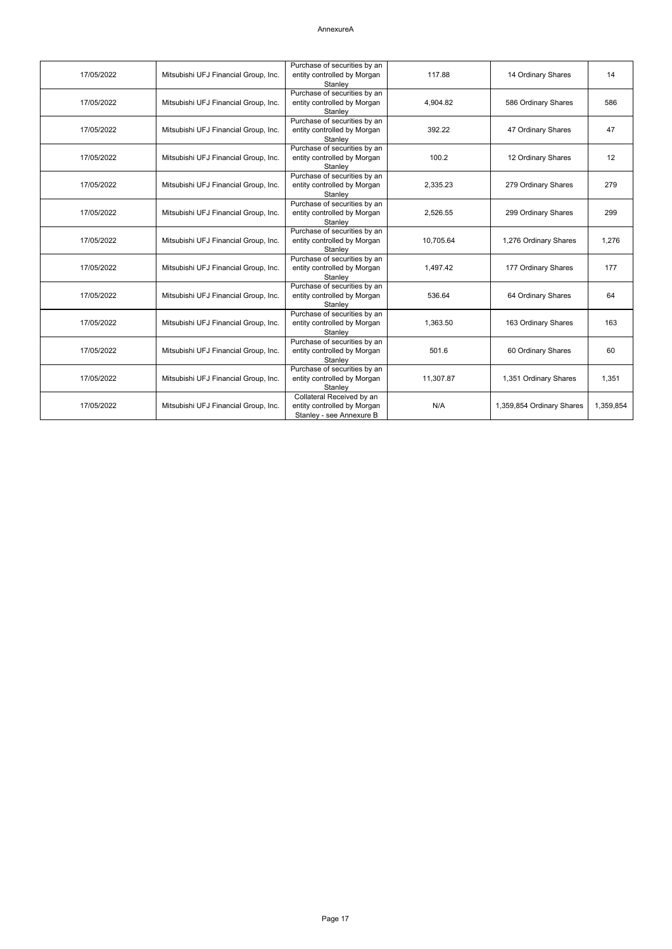| 17/05/2022 | Mitsubishi UFJ Financial Group, Inc. | Purchase of securities by an<br>entity controlled by Morgan<br>Stanley               | 117.88    | 14 Ordinary Shares        | 14        |
|------------|--------------------------------------|--------------------------------------------------------------------------------------|-----------|---------------------------|-----------|
| 17/05/2022 | Mitsubishi UFJ Financial Group, Inc. | Purchase of securities by an<br>entity controlled by Morgan<br>Stanley               | 4,904.82  | 586 Ordinary Shares       | 586       |
| 17/05/2022 | Mitsubishi UFJ Financial Group, Inc. | Purchase of securities by an<br>entity controlled by Morgan<br>Stanley               | 392.22    | 47 Ordinary Shares        | 47        |
| 17/05/2022 | Mitsubishi UFJ Financial Group, Inc. | Purchase of securities by an<br>entity controlled by Morgan<br>Stanley               | 100.2     | 12 Ordinary Shares        | 12        |
| 17/05/2022 | Mitsubishi UFJ Financial Group, Inc. | Purchase of securities by an<br>entity controlled by Morgan<br>Stanley               | 2,335.23  | 279 Ordinary Shares       | 279       |
| 17/05/2022 | Mitsubishi UFJ Financial Group, Inc. | Purchase of securities by an<br>entity controlled by Morgan<br>Stanley               | 2,526.55  | 299 Ordinary Shares       | 299       |
| 17/05/2022 | Mitsubishi UFJ Financial Group, Inc. | Purchase of securities by an<br>entity controlled by Morgan<br>Stanley               | 10,705.64 | 1,276 Ordinary Shares     | 1,276     |
| 17/05/2022 | Mitsubishi UFJ Financial Group, Inc. | Purchase of securities by an<br>entity controlled by Morgan<br>Stanley               | 1,497.42  | 177 Ordinary Shares       | 177       |
| 17/05/2022 | Mitsubishi UFJ Financial Group, Inc. | Purchase of securities by an<br>entity controlled by Morgan<br>Stanley               | 536.64    | 64 Ordinary Shares        | 64        |
| 17/05/2022 | Mitsubishi UFJ Financial Group, Inc. | Purchase of securities by an<br>entity controlled by Morgan<br>Stanley               | 1.363.50  | 163 Ordinary Shares       | 163       |
| 17/05/2022 | Mitsubishi UFJ Financial Group, Inc. | Purchase of securities by an<br>entity controlled by Morgan<br>Stanley               | 501.6     | 60 Ordinary Shares        | 60        |
| 17/05/2022 | Mitsubishi UFJ Financial Group, Inc. | Purchase of securities by an<br>entity controlled by Morgan<br>Stanley               | 11,307.87 | 1,351 Ordinary Shares     | 1.351     |
| 17/05/2022 | Mitsubishi UFJ Financial Group, Inc. | Collateral Received by an<br>entity controlled by Morgan<br>Stanley - see Annexure B | N/A       | 1,359,854 Ordinary Shares | 1,359,854 |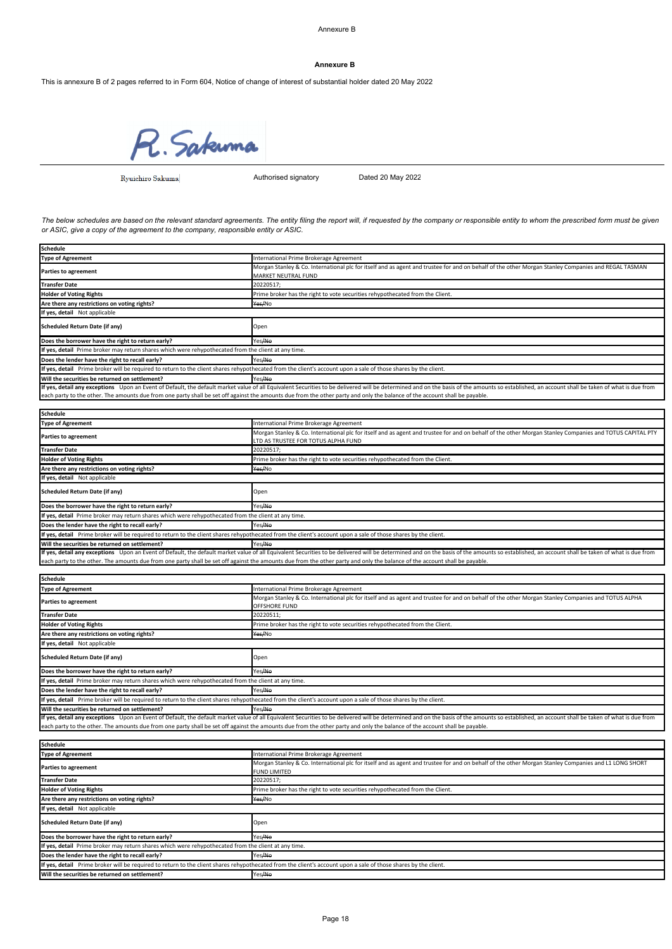#### **Annexure B**

This is annexure B of 2 pages referred to in Form 604, Notice of change of interest of substantial holder dated 20 May 2022

R. Sakuma

Ryuichiro Sakuma

Authorised signatory Dated 20 May 2022

*The below schedules are based on the relevant standard agreements. The entity filing the report will, if requested by the company or responsible entity to whom the prescribed form must be given or ASIC, give a copy of the agreement to the company, responsible entity or ASIC.*

| <b>Schedule</b>                                                                                                                                                                                                               |                                                                               |  |  |  |
|-------------------------------------------------------------------------------------------------------------------------------------------------------------------------------------------------------------------------------|-------------------------------------------------------------------------------|--|--|--|
| <b>Type of Agreement</b>                                                                                                                                                                                                      | International Prime Brokerage Agreement                                       |  |  |  |
| Morgan Stanley & Co. International plc for itself and as agent and trustee for and on behalf of the other Morgan Stanley Companies and REGAL TASMAN<br><b>Parties to agreement</b><br><b>MARKET NEUTRAL FUND</b>              |                                                                               |  |  |  |
| <b>Transfer Date</b>                                                                                                                                                                                                          | 20220517;                                                                     |  |  |  |
| <b>Holder of Voting Rights</b>                                                                                                                                                                                                | Prime broker has the right to vote securities rehypothecated from the Client. |  |  |  |
| Are there any restrictions on voting rights?                                                                                                                                                                                  | Yes/No                                                                        |  |  |  |
| If yes, detail Not applicable                                                                                                                                                                                                 |                                                                               |  |  |  |
| <b>Scheduled Return Date (if any)</b>                                                                                                                                                                                         | Open                                                                          |  |  |  |
| Does the borrower have the right to return early?                                                                                                                                                                             | Yes <del>/No</del>                                                            |  |  |  |
| If yes, detail Prime broker may return shares which were rehypothecated from the client at any time.                                                                                                                          |                                                                               |  |  |  |
| Does the lender have the right to recall early?                                                                                                                                                                               | Yes <del>/No</del>                                                            |  |  |  |
| If yes, detail Prime broker will be required to return to the client shares rehypothecated from the client's account upon a sale of those shares by the client.                                                               |                                                                               |  |  |  |
| Will the securities be returned on settlement?                                                                                                                                                                                | Yes <del>/No</del>                                                            |  |  |  |
| If yes, detail any exceptions Upon an Event of Default, the default market value of all Equivalent Securities to be delivered will be determined and on the basis of the amounts so established, an account shall be taken of |                                                                               |  |  |  |
| each party to the other. The amounts due from one party shall be set off against the amounts due from the other party and only the balance of the account shall be payable.                                                   |                                                                               |  |  |  |

| <b>Schedule</b>                                                                                                                                                                                                               |                                                                                                                                                                             |  |  |
|-------------------------------------------------------------------------------------------------------------------------------------------------------------------------------------------------------------------------------|-----------------------------------------------------------------------------------------------------------------------------------------------------------------------------|--|--|
| <b>Type of Agreement</b>                                                                                                                                                                                                      | International Prime Brokerage Agreement                                                                                                                                     |  |  |
| <b>Parties to agreement</b>                                                                                                                                                                                                   | Morgan Stanley & Co. International plc for itself and as agent and trustee for and on behalf of the other Morgan Stanley Companies and TOTUS CAPITAL PTY                    |  |  |
|                                                                                                                                                                                                                               | LTD AS TRUSTEE FOR TOTUS ALPHA FUND                                                                                                                                         |  |  |
| <b>Transfer Date</b>                                                                                                                                                                                                          | 20220517;                                                                                                                                                                   |  |  |
| <b>Holder of Voting Rights</b>                                                                                                                                                                                                | Prime broker has the right to vote securities rehypothecated from the Client.                                                                                               |  |  |
| Are there any restrictions on voting rights?                                                                                                                                                                                  | Yes/No                                                                                                                                                                      |  |  |
| If yes, detail Not applicable                                                                                                                                                                                                 |                                                                                                                                                                             |  |  |
| <b>Scheduled Return Date (if any)</b>                                                                                                                                                                                         | Open                                                                                                                                                                        |  |  |
| Does the borrower have the right to return early?                                                                                                                                                                             | Yes <del>/No</del>                                                                                                                                                          |  |  |
| If yes, detail Prime broker may return shares which were rehypothecated from the client at any time.                                                                                                                          |                                                                                                                                                                             |  |  |
| Does the lender have the right to recall early?                                                                                                                                                                               | Yes/No                                                                                                                                                                      |  |  |
| If yes, detail Prime broker will be required to return to the client shares rehypothecated from the client's account upon a sale of those shares by the client.                                                               |                                                                                                                                                                             |  |  |
| Will the securities be returned on settlement?                                                                                                                                                                                | Yes/No                                                                                                                                                                      |  |  |
| If yes, detail any exceptions Upon an Event of Default, the default market value of all Equivalent Securities to be delivered will be determined and on the basis of the amounts so established, an account shall be taken of |                                                                                                                                                                             |  |  |
|                                                                                                                                                                                                                               | each party to the other. The amounts due from one party shall be set off against the amounts due from the other party and only the balance of the account shall be payable. |  |  |

| Schedule                                                                                             |                                                                                                                                                                                                                               |
|------------------------------------------------------------------------------------------------------|-------------------------------------------------------------------------------------------------------------------------------------------------------------------------------------------------------------------------------|
| <b>Type of Agreement</b>                                                                             | International Prime Brokerage Agreement                                                                                                                                                                                       |
| <b>Parties to agreement</b>                                                                          | Morgan Stanley & Co. International plc for itself and as agent and trustee for and on behalf of the other Morgan Stanley Companies and TOTUS ALPHA<br>OFFSHORE FUND                                                           |
| <b>Transfer Date</b>                                                                                 | 20220511;                                                                                                                                                                                                                     |
| <b>Holder of Voting Rights</b>                                                                       | Prime broker has the right to vote securities rehypothecated from the Client.                                                                                                                                                 |
| Are there any restrictions on voting rights?                                                         | Yes/No                                                                                                                                                                                                                        |
| If yes, detail Not applicable                                                                        |                                                                                                                                                                                                                               |
| Scheduled Return Date (if any)                                                                       | Open                                                                                                                                                                                                                          |
| Does the borrower have the right to return early?                                                    | Yes/No                                                                                                                                                                                                                        |
| If yes, detail Prime broker may return shares which were rehypothecated from the client at any time. |                                                                                                                                                                                                                               |
| Does the lender have the right to recall early?                                                      | Yes/No                                                                                                                                                                                                                        |
|                                                                                                      | If yes, detail Prime broker will be required to return to the client shares rehypothecated from the client's account upon a sale of those shares by the client.                                                               |
| Will the securities be returned on settlement?                                                       | Yes/No                                                                                                                                                                                                                        |
|                                                                                                      | If yes, detail any exceptions Upon an Event of Default, the default market value of all Equivalent Securities to be delivered will be determined and on the basis of the amounts so established, an account shall be taken of |
|                                                                                                      |                                                                                                                                                                                                                               |

each party to the other. The amounts due from one party shall be set off against the amounts due from the other party and only the balance of the account shall be payable.

**Schedule**

| <b>Type of Agreement</b>                                                                                                                                        | International Prime Brokerage Agreement                                                                                                              |  |
|-----------------------------------------------------------------------------------------------------------------------------------------------------------------|------------------------------------------------------------------------------------------------------------------------------------------------------|--|
| <b>Parties to agreement</b>                                                                                                                                     | Morgan Stanley & Co. International plc for itself and as agent and trustee for and on behalf of the other Morgan Stanley Companies and L1 LONG SHORT |  |
|                                                                                                                                                                 | <b>FUND LIMITED</b>                                                                                                                                  |  |
| <b>Transfer Date</b>                                                                                                                                            | 20220517;                                                                                                                                            |  |
| <b>Holder of Voting Rights</b>                                                                                                                                  | Prime broker has the right to vote securities rehypothecated from the Client.                                                                        |  |
| Are there any restrictions on voting rights?                                                                                                                    | Yes/No                                                                                                                                               |  |
| If yes, detail Not applicable                                                                                                                                   |                                                                                                                                                      |  |
| Scheduled Return Date (if any)                                                                                                                                  | Open                                                                                                                                                 |  |
| Does the borrower have the right to return early?                                                                                                               | Yes <del>/No</del>                                                                                                                                   |  |
| If yes, detail Prime broker may return shares which were rehypothecated from the client at any time.                                                            |                                                                                                                                                      |  |
| Does the lender have the right to recall early?                                                                                                                 | Yes/No                                                                                                                                               |  |
| If yes, detail Prime broker will be required to return to the client shares rehypothecated from the client's account upon a sale of those shares by the client. |                                                                                                                                                      |  |
| Will the securities be returned on settlement?                                                                                                                  | Yes <del>/No</del>                                                                                                                                   |  |